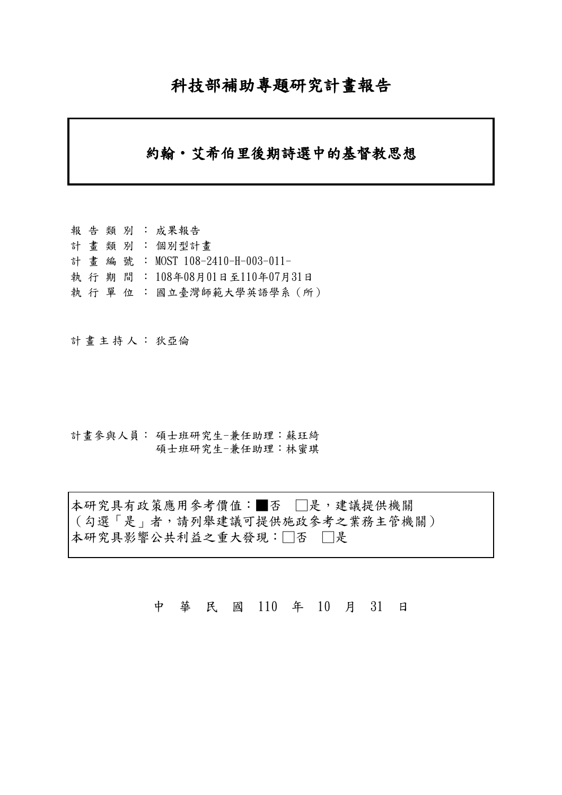# 科技部補助專題研究計畫報告

## 約翰‧艾希伯里後期詩選中的基督教思想

報告類別: 成果報告 計畫類別: 個別型計畫 計畫編號: MOST 108-2410-H-003-011- 執行期間: 108年08月01日至110年07月31日 執 行 單 位 : 國立臺灣師範大學英語學系 (所)

計畫主持人: 狄亞倫

計畫參與人員: 碩士班研究生-兼任助理:蘇玨綺 碩士班研究生-兼任助理:林蜜琪

本研究具有政策應用參考價值:■否 □是,建議提供機關 (勾選「是」者,請列舉建議可提供施政參考之業務主管機關) 本研究具影響公共利益之重大發現:□否 □是

中 華 民 國 110 年 10 月 31 日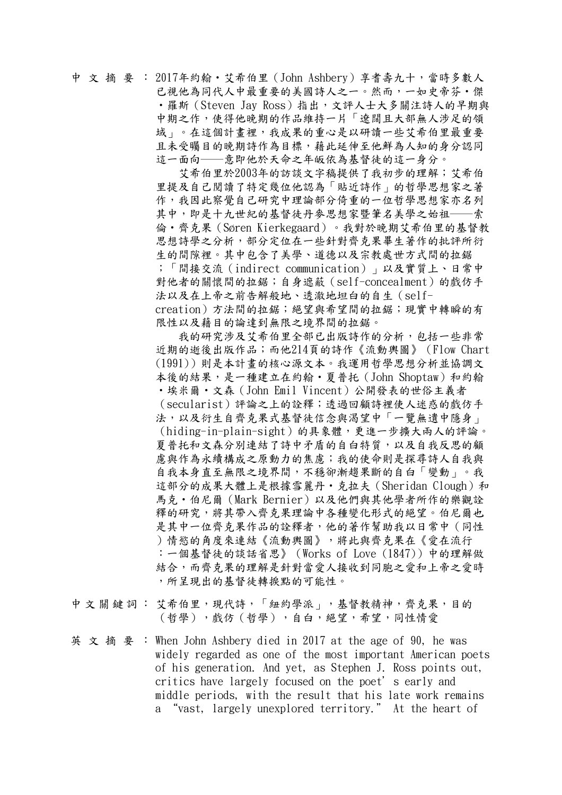## 中文摘要: 2017年約翰‧艾希伯里(John Ashbery)享耆壽九十,當時多數人 已視他為同代人中最重要的美國詩人之一。然而,一如史帝芬·傑 ·羅斯(Steven Jay Ross)指出,文評人士大多關注詩人的早期與 中期之作,使得他晚期的作品維持一片「遼闊且大部無人涉足的領 域」。在這個計書裡,我成果的重心是以研讀一些艾希伯里最重要 且未受矚目的晚期詩作為目標,藉此延伸至他鮮為人知的身分認同 這一面向──意即他於天命之年皈依為基督徒的這一身分。

 艾希伯里於2003年的訪談文字稿提供了我初步的理解;艾希伯 里提及自己閱讀了特定幾位他認為「貼近詩作」的哲學思想家之著 作,我因此察覺自己研究中理論部分倚重的一位哲學思想家亦名列 其中,即是十九世紀的基督徒丹麥思想家暨筆名美學之始祖––索 倫‧齊克果(Søren Kierkegaard)。我對於晚期艾希伯里的基督教 思想詩學之分析,部分定位在一些針對齊克果畢生著作的批評所衍 生的間隙裡。其中包含了美學、道德以及宗教處世方式間的拉鋸 ;「間接交流(indirect communication)」以及實質上、日常中 對他者的關懷間的拉鋸;自身遮蔽(self-concealment)的戲仿手 法以及在上帝之前告解般地、透澈地坦白的自生(selfcreation)方法間的拉鋸;絕望與希望間的拉鋸;現實中轉瞬的有 限性以及藉目的論達到無限之境界間的拉鋸。

 我的研究涉及艾希伯里全部已出版詩作的分析,包括一些非常 近期的逝後出版作品;而他214頁的詩作《流動輿圖》(Flow Chart (1991))則是本計畫的核心源文本。我運用哲學思想分析並協調文 本後的結果,是一種建立在約翰·夏普托(John Shoptaw)和約翰 ‧埃米爾‧文森(John Emil Vincent)公開發表的世俗主義者 (secularist)評論之上的詮釋;透過回顧詩裡使人迷惑的戲仿手 法,以及衍生自齊克果式基督徒信念與渴望中「一覽無遺中隱身」 (hiding-in-plain-sight)的具象體,更進一步擴大兩人的評論。 夏普托和文森分別連結了詩中矛盾的自白特質,以及自我反思的顧 慮與作為永續構成之原動力的焦慮;我的使命則是探尋詩人自我與 自我本身直至無限之境界間,不穩卻漸趨果斷的自白「變動」。我 這部分的成果大體上是根據雪麗丹·克拉夫 (Sheridan Clough) 和 馬克‧伯尼爾(Mark Bernier)以及他們與其他學者所作的樂觀詮 釋的研究,將其帶入齊克果理論中各種變化形式的絕望。伯尼爾也 是其中一位齊克果作品的詮釋者,他的著作幫助我以日常中(同性 )情慾的角度來連結《流動輿圖》,將此與齊克果在《愛在流行 :一個基督徒的談話省思》(Works of Love (1847))中的理解做 結合,而齊克果的理解是針對當愛人接收到同胞之愛和上帝之愛時 ,所呈現出的基督徒轉捩點的可能性。

中文關鍵詞: 艾希伯里,現代詩,「紐約學派」,基督教精神,齊克果,目的 (哲學),戲仿(哲學),自白,絕望,希望,同性情愛

英文摘要: When John Ashbery died in 2017 at the age of 90, he was widely regarded as one of the most important American poets of his generation. And yet, as Stephen J. Ross points out, critics have largely focused on the poet's early and middle periods, with the result that his late work remains a "vast, largely unexplored territory." At the heart of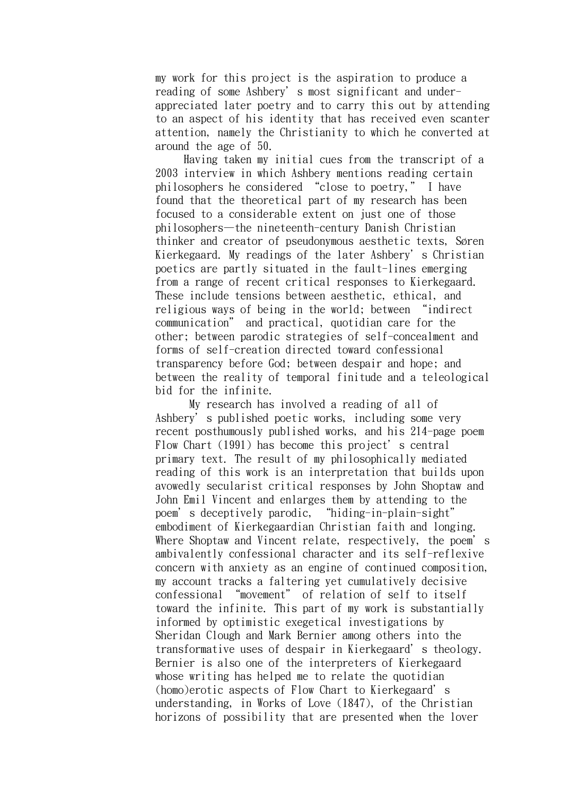my work for this project is the aspiration to produce a reading of some Ashbery's most significant and underappreciated later poetry and to carry this out by attending to an aspect of his identity that has received even scanter attention, namely the Christianity to which he converted at around the age of 50.

 Having taken my initial cues from the transcript of a 2003 interview in which Ashbery mentions reading certain philosophers he considered "close to poetry," I have found that the theoretical part of my research has been focused to a considerable extent on just one of those philosophers—the nineteenth-century Danish Christian thinker and creator of pseudonymous aesthetic texts, Søren Kierkegaard. My readings of the later Ashbery's Christian poetics are partly situated in the fault-lines emerging from a range of recent critical responses to Kierkegaard. These include tensions between aesthetic, ethical, and religious ways of being in the world; between "indirect communication" and practical, quotidian care for the other; between parodic strategies of self-concealment and forms of self-creation directed toward confessional transparency before God; between despair and hope; and between the reality of temporal finitude and a teleological bid for the infinite.

 My research has involved a reading of all of Ashbery's published poetic works, including some very recent posthumously published works, and his 214-page poem Flow Chart (1991) has become this project's central primary text. The result of my philosophically mediated reading of this work is an interpretation that builds upon avowedly secularist critical responses by John Shoptaw and John Emil Vincent and enlarges them by attending to the poem's deceptively parodic, "hiding-in-plain-sight" embodiment of Kierkegaardian Christian faith and longing. Where Shoptaw and Vincent relate, respectively, the poem's ambivalently confessional character and its self-reflexive concern with anxiety as an engine of continued composition, my account tracks a faltering yet cumulatively decisive confessional "movement" of relation of self to itself toward the infinite. This part of my work is substantially informed by optimistic exegetical investigations by Sheridan Clough and Mark Bernier among others into the transformative uses of despair in Kierkegaard's theology. Bernier is also one of the interpreters of Kierkegaard whose writing has helped me to relate the quotidian (homo)erotic aspects of Flow Chart to Kierkegaard's understanding, in Works of Love (1847), of the Christian horizons of possibility that are presented when the lover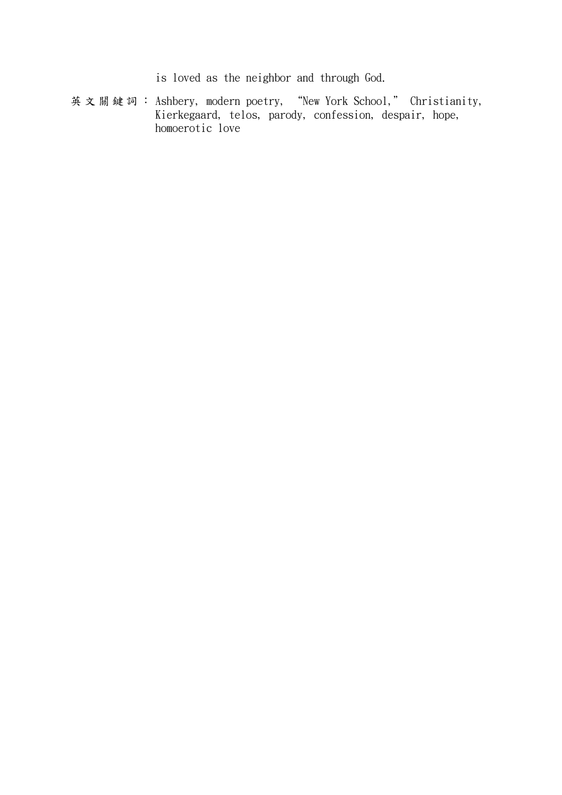is loved as the neighbor and through God.

英文關鍵詞: Ashbery, modern poetry, "New York School," Christianity, Kierkegaard, telos, parody, confession, despair, hope, homoerotic love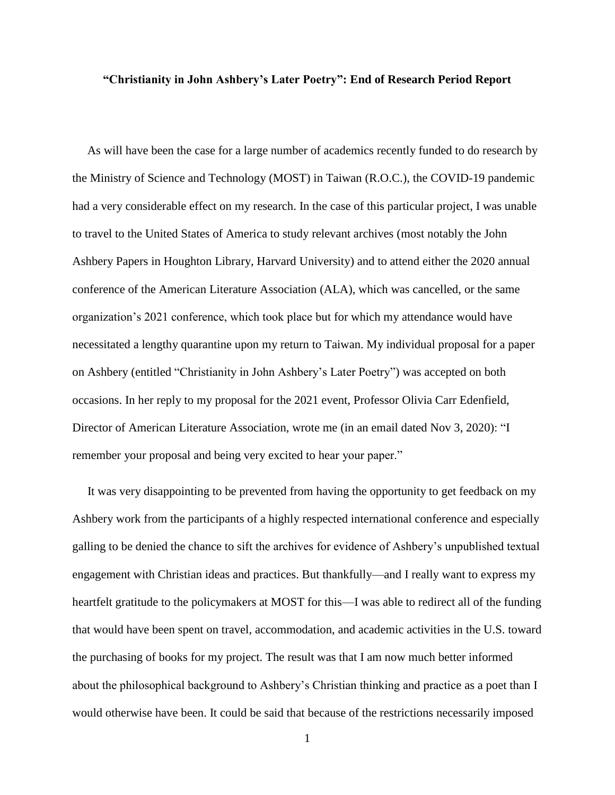#### **"Christianity in John Ashbery's Later Poetry": End of Research Period Report**

 As will have been the case for a large number of academics recently funded to do research by the Ministry of Science and Technology (MOST) in Taiwan (R.O.C.), the COVID-19 pandemic had a very considerable effect on my research. In the case of this particular project, I was unable to travel to the United States of America to study relevant archives (most notably the John Ashbery Papers in Houghton Library, Harvard University) and to attend either the 2020 annual conference of the American Literature Association (ALA), which was cancelled, or the same organization's 2021 conference, which took place but for which my attendance would have necessitated a lengthy quarantine upon my return to Taiwan. My individual proposal for a paper on Ashbery (entitled "Christianity in John Ashbery's Later Poetry") was accepted on both occasions. In her reply to my proposal for the 2021 event, Professor Olivia Carr Edenfield, Director of American Literature Association, wrote me (in an email dated Nov 3, 2020): "I remember your proposal and being very excited to hear your paper."

 It was very disappointing to be prevented from having the opportunity to get feedback on my Ashbery work from the participants of a highly respected international conference and especially galling to be denied the chance to sift the archives for evidence of Ashbery's unpublished textual engagement with Christian ideas and practices. But thankfully—and I really want to express my heartfelt gratitude to the policymakers at MOST for this—I was able to redirect all of the funding that would have been spent on travel, accommodation, and academic activities in the U.S. toward the purchasing of books for my project. The result was that I am now much better informed about the philosophical background to Ashbery's Christian thinking and practice as a poet than I would otherwise have been. It could be said that because of the restrictions necessarily imposed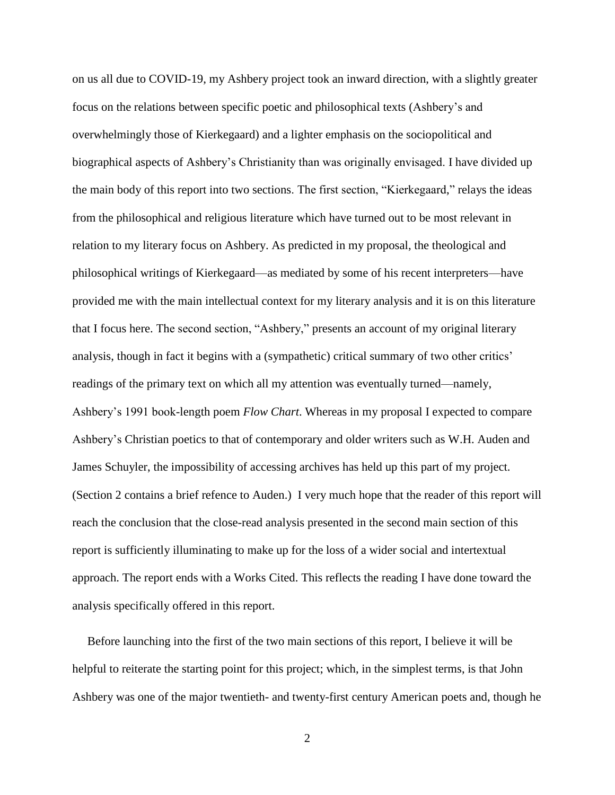on us all due to COVID-19, my Ashbery project took an inward direction, with a slightly greater focus on the relations between specific poetic and philosophical texts (Ashbery's and overwhelmingly those of Kierkegaard) and a lighter emphasis on the sociopolitical and biographical aspects of Ashbery's Christianity than was originally envisaged. I have divided up the main body of this report into two sections. The first section, "Kierkegaard," relays the ideas from the philosophical and religious literature which have turned out to be most relevant in relation to my literary focus on Ashbery. As predicted in my proposal, the theological and philosophical writings of Kierkegaard—as mediated by some of his recent interpreters—have provided me with the main intellectual context for my literary analysis and it is on this literature that I focus here. The second section, "Ashbery," presents an account of my original literary analysis, though in fact it begins with a (sympathetic) critical summary of two other critics' readings of the primary text on which all my attention was eventually turned—namely, Ashbery's 1991 book-length poem *Flow Chart*. Whereas in my proposal I expected to compare Ashbery's Christian poetics to that of contemporary and older writers such as W.H. Auden and James Schuyler, the impossibility of accessing archives has held up this part of my project. (Section 2 contains a brief refence to Auden.) I very much hope that the reader of this report will reach the conclusion that the close-read analysis presented in the second main section of this report is sufficiently illuminating to make up for the loss of a wider social and intertextual approach. The report ends with a Works Cited. This reflects the reading I have done toward the analysis specifically offered in this report.

 Before launching into the first of the two main sections of this report, I believe it will be helpful to reiterate the starting point for this project; which, in the simplest terms, is that John Ashbery was one of the major twentieth- and twenty-first century American poets and, though he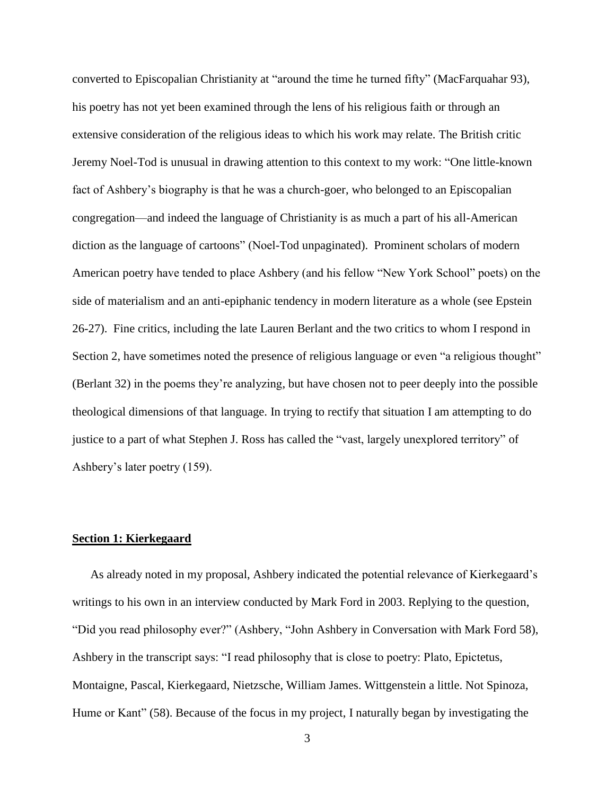converted to Episcopalian Christianity at "around the time he turned fifty" (MacFarquahar 93), his poetry has not yet been examined through the lens of his religious faith or through an extensive consideration of the religious ideas to which his work may relate. The British critic Jeremy Noel-Tod is unusual in drawing attention to this context to my work: "One little-known fact of Ashbery's biography is that he was a church-goer, who belonged to an Episcopalian congregation—and indeed the language of Christianity is as much a part of his all-American diction as the language of cartoons" (Noel-Tod unpaginated). Prominent scholars of modern American poetry have tended to place Ashbery (and his fellow "New York School" poets) on the side of materialism and an anti-epiphanic tendency in modern literature as a whole (see Epstein 26-27). Fine critics, including the late Lauren Berlant and the two critics to whom I respond in Section 2, have sometimes noted the presence of religious language or even "a religious thought" (Berlant 32) in the poems they're analyzing, but have chosen not to peer deeply into the possible theological dimensions of that language. In trying to rectify that situation I am attempting to do justice to a part of what Stephen J. Ross has called the "vast, largely unexplored territory" of Ashbery's later poetry (159).

#### **Section 1: Kierkegaard**

 As already noted in my proposal, Ashbery indicated the potential relevance of Kierkegaard's writings to his own in an interview conducted by Mark Ford in 2003. Replying to the question, "Did you read philosophy ever?" (Ashbery, "John Ashbery in Conversation with Mark Ford 58), Ashbery in the transcript says: "I read philosophy that is close to poetry: Plato, Epictetus, Montaigne, Pascal, Kierkegaard, Nietzsche, William James. Wittgenstein a little. Not Spinoza, Hume or Kant" (58). Because of the focus in my project, I naturally began by investigating the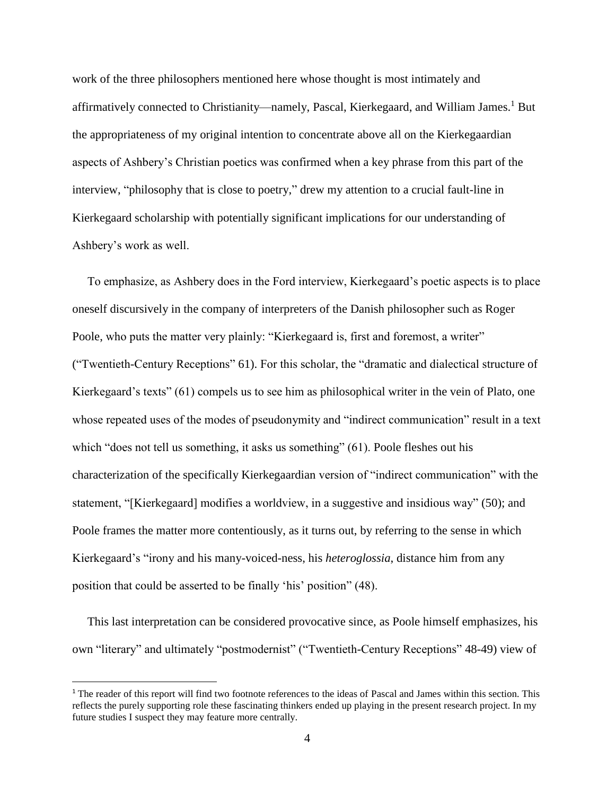work of the three philosophers mentioned here whose thought is most intimately and affirmatively connected to Christianity—namely, Pascal, Kierkegaard, and William James.<sup>1</sup> But the appropriateness of my original intention to concentrate above all on the Kierkegaardian aspects of Ashbery's Christian poetics was confirmed when a key phrase from this part of the interview, "philosophy that is close to poetry," drew my attention to a crucial fault-line in Kierkegaard scholarship with potentially significant implications for our understanding of Ashbery's work as well.

 To emphasize, as Ashbery does in the Ford interview, Kierkegaard's poetic aspects is to place oneself discursively in the company of interpreters of the Danish philosopher such as Roger Poole, who puts the matter very plainly: "Kierkegaard is, first and foremost, a writer" ("Twentieth-Century Receptions" 61). For this scholar, the "dramatic and dialectical structure of Kierkegaard's texts" (61) compels us to see him as philosophical writer in the vein of Plato, one whose repeated uses of the modes of pseudonymity and "indirect communication" result in a text which "does not tell us something, it asks us something" (61). Poole fleshes out his characterization of the specifically Kierkegaardian version of "indirect communication" with the statement, "[Kierkegaard] modifies a worldview, in a suggestive and insidious way" (50); and Poole frames the matter more contentiously, as it turns out, by referring to the sense in which Kierkegaard's "irony and his many-voiced-ness, his *heteroglossia*, distance him from any position that could be asserted to be finally 'his' position" (48).

 This last interpretation can be considered provocative since, as Poole himself emphasizes, his own "literary" and ultimately "postmodernist" ("Twentieth-Century Receptions" 48-49) view of

 $\overline{\phantom{a}}$ 

<sup>&</sup>lt;sup>1</sup> The reader of this report will find two footnote references to the ideas of Pascal and James within this section. This reflects the purely supporting role these fascinating thinkers ended up playing in the present research project. In my future studies I suspect they may feature more centrally.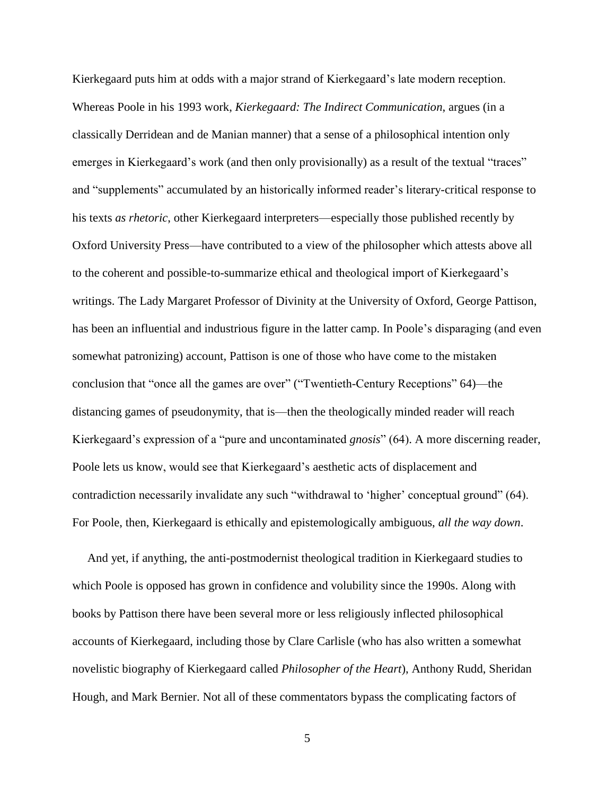Kierkegaard puts him at odds with a major strand of Kierkegaard's late modern reception. Whereas Poole in his 1993 work, *Kierkegaard: The Indirect Communication*, argues (in a classically Derridean and de Manian manner) that a sense of a philosophical intention only emerges in Kierkegaard's work (and then only provisionally) as a result of the textual "traces" and "supplements" accumulated by an historically informed reader's literary-critical response to his texts *as rhetoric*, other Kierkegaard interpreters—especially those published recently by Oxford University Press—have contributed to a view of the philosopher which attests above all to the coherent and possible-to-summarize ethical and theological import of Kierkegaard's writings. The Lady Margaret Professor of Divinity at the University of Oxford, George Pattison, has been an influential and industrious figure in the latter camp. In Poole's disparaging (and even somewhat patronizing) account, Pattison is one of those who have come to the mistaken conclusion that "once all the games are over" ("Twentieth-Century Receptions" 64)—the distancing games of pseudonymity, that is—then the theologically minded reader will reach Kierkegaard's expression of a "pure and uncontaminated *gnosis*" (64). A more discerning reader, Poole lets us know, would see that Kierkegaard's aesthetic acts of displacement and contradiction necessarily invalidate any such "withdrawal to 'higher' conceptual ground" (64). For Poole, then, Kierkegaard is ethically and epistemologically ambiguous, *all the way down*.

 And yet, if anything, the anti-postmodernist theological tradition in Kierkegaard studies to which Poole is opposed has grown in confidence and volubility since the 1990s. Along with books by Pattison there have been several more or less religiously inflected philosophical accounts of Kierkegaard, including those by Clare Carlisle (who has also written a somewhat novelistic biography of Kierkegaard called *Philosopher of the Heart*), Anthony Rudd, Sheridan Hough, and Mark Bernier. Not all of these commentators bypass the complicating factors of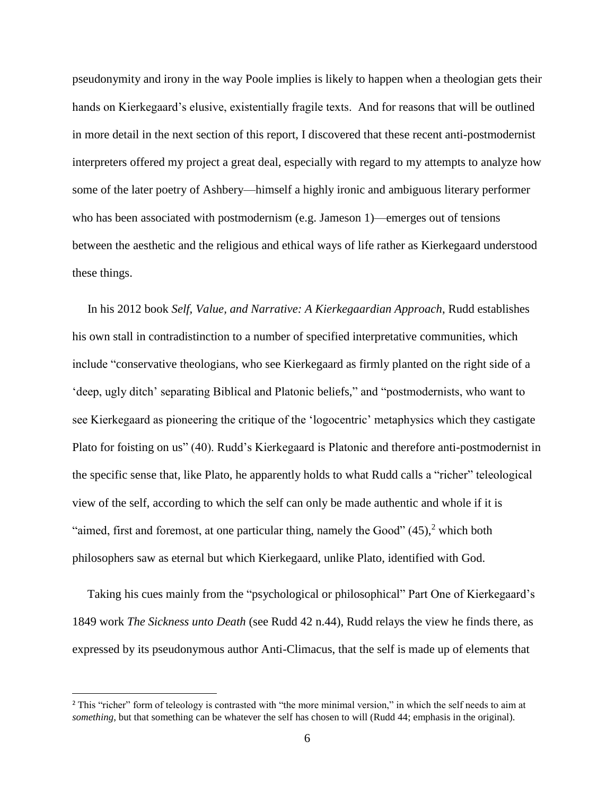pseudonymity and irony in the way Poole implies is likely to happen when a theologian gets their hands on Kierkegaard's elusive, existentially fragile texts. And for reasons that will be outlined in more detail in the next section of this report, I discovered that these recent anti-postmodernist interpreters offered my project a great deal, especially with regard to my attempts to analyze how some of the later poetry of Ashbery—himself a highly ironic and ambiguous literary performer who has been associated with postmodernism (e.g. Jameson 1)—emerges out of tensions between the aesthetic and the religious and ethical ways of life rather as Kierkegaard understood these things.

 In his 2012 book *Self, Value, and Narrative: A Kierkegaardian Approach*, Rudd establishes his own stall in contradistinction to a number of specified interpretative communities, which include "conservative theologians, who see Kierkegaard as firmly planted on the right side of a 'deep, ugly ditch' separating Biblical and Platonic beliefs," and "postmodernists, who want to see Kierkegaard as pioneering the critique of the 'logocentric' metaphysics which they castigate Plato for foisting on us" (40). Rudd's Kierkegaard is Platonic and therefore anti-postmodernist in the specific sense that, like Plato, he apparently holds to what Rudd calls a "richer" teleological view of the self, according to which the self can only be made authentic and whole if it is "aimed, first and foremost, at one particular thing, namely the Good"  $(45)$ , which both philosophers saw as eternal but which Kierkegaard, unlike Plato, identified with God.

 Taking his cues mainly from the "psychological or philosophical" Part One of Kierkegaard's 1849 work *The Sickness unto Death* (see Rudd 42 n.44), Rudd relays the view he finds there, as expressed by its pseudonymous author Anti-Climacus, that the self is made up of elements that

l

<sup>&</sup>lt;sup>2</sup> This "richer" form of teleology is contrasted with "the more minimal version," in which the self needs to aim at *something*, but that something can be whatever the self has chosen to will (Rudd 44; emphasis in the original).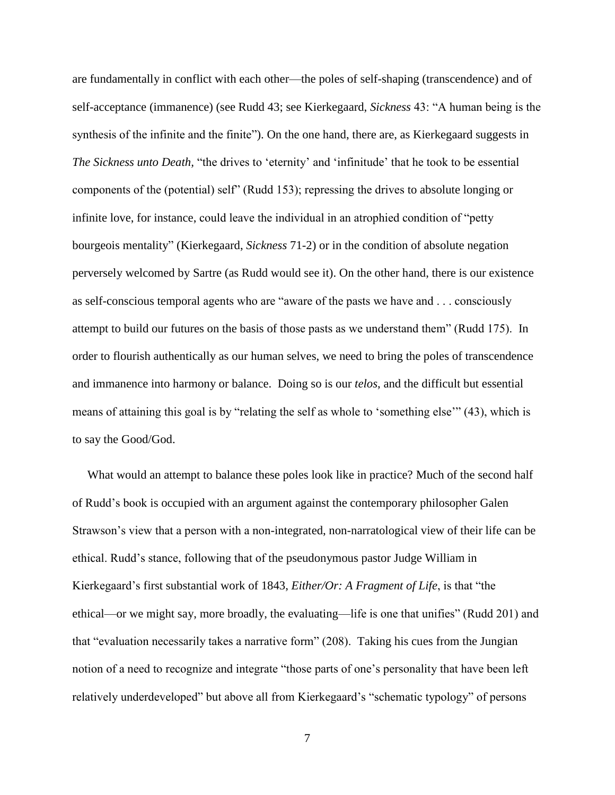are fundamentally in conflict with each other—the poles of self-shaping (transcendence) and of self-acceptance (immanence) (see Rudd 43; see Kierkegaard, *Sickness* 43: "A human being is the synthesis of the infinite and the finite"). On the one hand, there are, as Kierkegaard suggests in *The Sickness unto Death,* "the drives to 'eternity' and 'infinitude' that he took to be essential components of the (potential) self" (Rudd 153); repressing the drives to absolute longing or infinite love, for instance, could leave the individual in an atrophied condition of "petty bourgeois mentality" (Kierkegaard, *Sickness* 71-2) or in the condition of absolute negation perversely welcomed by Sartre (as Rudd would see it). On the other hand, there is our existence as self-conscious temporal agents who are "aware of the pasts we have and . . . consciously attempt to build our futures on the basis of those pasts as we understand them" (Rudd 175). In order to flourish authentically as our human selves, we need to bring the poles of transcendence and immanence into harmony or balance. Doing so is our *telos*, and the difficult but essential means of attaining this goal is by "relating the self as whole to 'something else'" (43), which is to say the Good/God.

 What would an attempt to balance these poles look like in practice? Much of the second half of Rudd's book is occupied with an argument against the contemporary philosopher Galen Strawson's view that a person with a non-integrated, non-narratological view of their life can be ethical. Rudd's stance, following that of the pseudonymous pastor Judge William in Kierkegaard's first substantial work of 1843, *Either/Or: A Fragment of Life*, is that "the ethical—or we might say, more broadly, the evaluating—life is one that unifies" (Rudd 201) and that "evaluation necessarily takes a narrative form" (208). Taking his cues from the Jungian notion of a need to recognize and integrate "those parts of one's personality that have been left relatively underdeveloped" but above all from Kierkegaard's "schematic typology" of persons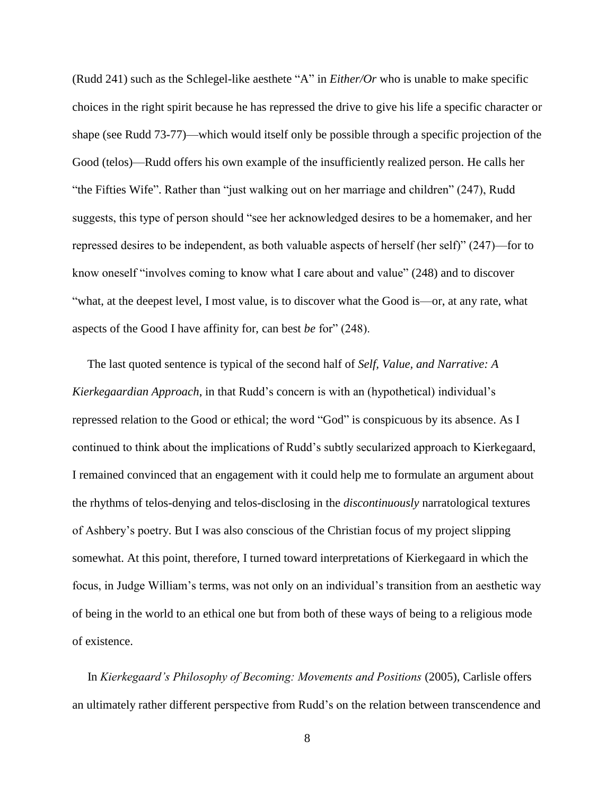(Rudd 241) such as the Schlegel-like aesthete "A" in *Either/Or* who is unable to make specific choices in the right spirit because he has repressed the drive to give his life a specific character or shape (see Rudd 73-77)—which would itself only be possible through a specific projection of the Good (telos)—Rudd offers his own example of the insufficiently realized person. He calls her "the Fifties Wife". Rather than "just walking out on her marriage and children" (247), Rudd suggests, this type of person should "see her acknowledged desires to be a homemaker, and her repressed desires to be independent, as both valuable aspects of herself (her self)" (247)—for to know oneself "involves coming to know what I care about and value" (248) and to discover "what, at the deepest level, I most value, is to discover what the Good is—or, at any rate, what aspects of the Good I have affinity for, can best *be* for" (248).

 The last quoted sentence is typical of the second half of *Self, Value, and Narrative: A Kierkegaardian Approach*, in that Rudd's concern is with an (hypothetical) individual's repressed relation to the Good or ethical; the word "God" is conspicuous by its absence. As I continued to think about the implications of Rudd's subtly secularized approach to Kierkegaard, I remained convinced that an engagement with it could help me to formulate an argument about the rhythms of telos-denying and telos-disclosing in the *discontinuously* narratological textures of Ashbery's poetry. But I was also conscious of the Christian focus of my project slipping somewhat. At this point, therefore, I turned toward interpretations of Kierkegaard in which the focus, in Judge William's terms, was not only on an individual's transition from an aesthetic way of being in the world to an ethical one but from both of these ways of being to a religious mode of existence.

 In *Kierkegaard's Philosophy of Becoming: Movements and Positions* (2005), Carlisle offers an ultimately rather different perspective from Rudd's on the relation between transcendence and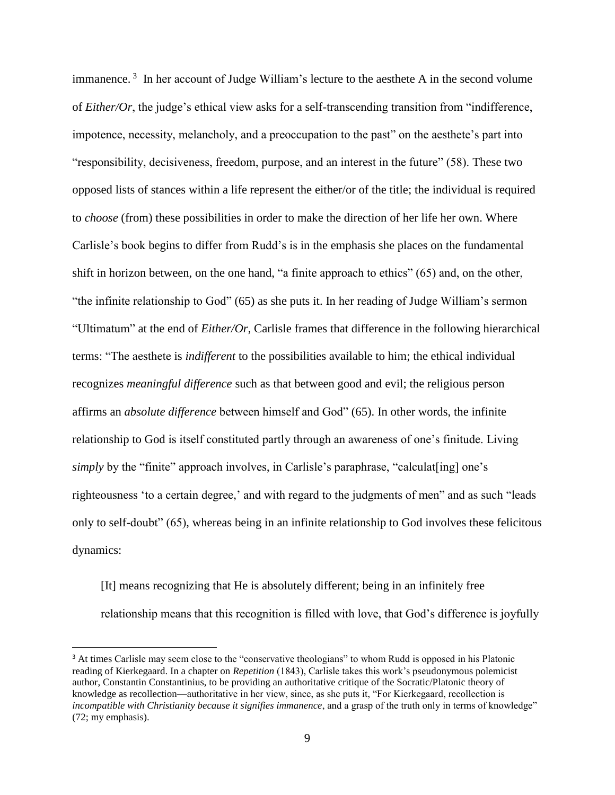immanence.<sup>3</sup> In her account of Judge William's lecture to the aesthete A in the second volume of *Either/Or*, the judge's ethical view asks for a self-transcending transition from "indifference, impotence, necessity, melancholy, and a preoccupation to the past" on the aesthete's part into "responsibility, decisiveness, freedom, purpose, and an interest in the future" (58). These two opposed lists of stances within a life represent the either/or of the title; the individual is required to *choose* (from) these possibilities in order to make the direction of her life her own. Where Carlisle's book begins to differ from Rudd's is in the emphasis she places on the fundamental shift in horizon between, on the one hand, "a finite approach to ethics" (65) and, on the other, "the infinite relationship to God" (65) as she puts it. In her reading of Judge William's sermon "Ultimatum" at the end of *Either/Or*, Carlisle frames that difference in the following hierarchical terms: "The aesthete is *indifferent* to the possibilities available to him; the ethical individual recognizes *meaningful difference* such as that between good and evil; the religious person affirms an *absolute difference* between himself and God" (65). In other words, the infinite relationship to God is itself constituted partly through an awareness of one's finitude. Living *simply* by the "finite" approach involves, in Carlisle's paraphrase, "calculat [ing] one's righteousness 'to a certain degree,' and with regard to the judgments of men" and as such "leads only to self-doubt" (65), whereas being in an infinite relationship to God involves these felicitous dynamics:

[It] means recognizing that He is absolutely different; being in an infinitely free relationship means that this recognition is filled with love, that God's difference is joyfully

l

<sup>&</sup>lt;sup>3</sup> At times Carlisle may seem close to the "conservative theologians" to whom Rudd is opposed in his Platonic reading of Kierkegaard. In a chapter on *Repetition* (1843), Carlisle takes this work's pseudonymous polemicist author, Constantin Constantinius, to be providing an authoritative critique of the Socratic/Platonic theory of knowledge as recollection—authoritative in her view, since, as she puts it, "For Kierkegaard, recollection is *incompatible with Christianity because it signifies immanence*, and a grasp of the truth only in terms of knowledge" (72; my emphasis).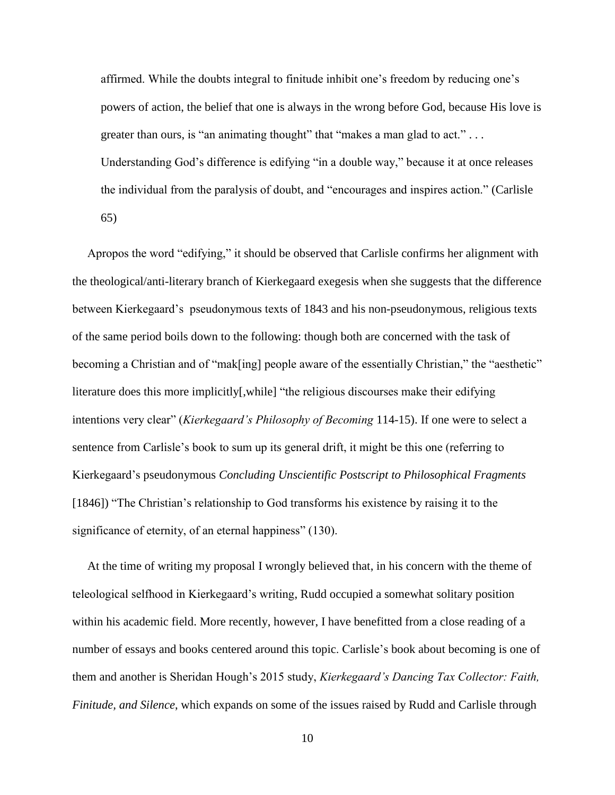affirmed. While the doubts integral to finitude inhibit one's freedom by reducing one's powers of action, the belief that one is always in the wrong before God, because His love is greater than ours, is "an animating thought" that "makes a man glad to act." ... Understanding God's difference is edifying "in a double way," because it at once releases the individual from the paralysis of doubt, and "encourages and inspires action." (Carlisle 65)

 Apropos the word "edifying," it should be observed that Carlisle confirms her alignment with the theological/anti-literary branch of Kierkegaard exegesis when she suggests that the difference between Kierkegaard's pseudonymous texts of 1843 and his non-pseudonymous, religious texts of the same period boils down to the following: though both are concerned with the task of becoming a Christian and of "mak[ing] people aware of the essentially Christian," the "aesthetic" literature does this more implicitly[,while] "the religious discourses make their edifying intentions very clear" (*Kierkegaard's Philosophy of Becoming* 114-15). If one were to select a sentence from Carlisle's book to sum up its general drift, it might be this one (referring to Kierkegaard's pseudonymous *Concluding Unscientific Postscript to Philosophical Fragments* [1846]) "The Christian's relationship to God transforms his existence by raising it to the significance of eternity, of an eternal happiness" (130).

 At the time of writing my proposal I wrongly believed that, in his concern with the theme of teleological selfhood in Kierkegaard's writing, Rudd occupied a somewhat solitary position within his academic field. More recently, however, I have benefitted from a close reading of a number of essays and books centered around this topic. Carlisle's book about becoming is one of them and another is Sheridan Hough's 2015 study, *Kierkegaard's Dancing Tax Collector: Faith, Finitude, and Silence*, which expands on some of the issues raised by Rudd and Carlisle through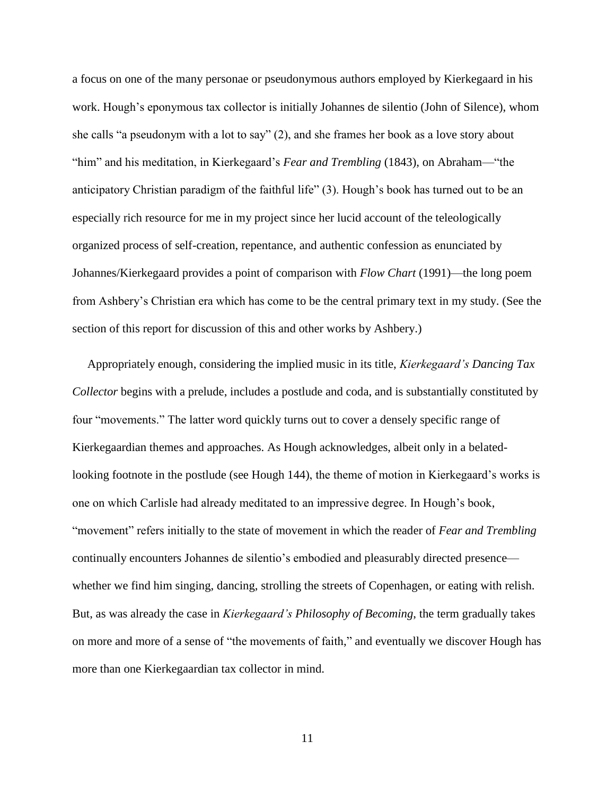a focus on one of the many personae or pseudonymous authors employed by Kierkegaard in his work. Hough's eponymous tax collector is initially Johannes de silentio (John of Silence), whom she calls "a pseudonym with a lot to say" (2), and she frames her book as a love story about "him" and his meditation, in Kierkegaard's *Fear and Trembling* (1843), on Abraham—"the anticipatory Christian paradigm of the faithful life" (3). Hough's book has turned out to be an especially rich resource for me in my project since her lucid account of the teleologically organized process of self-creation, repentance, and authentic confession as enunciated by Johannes/Kierkegaard provides a point of comparison with *Flow Chart* (1991)—the long poem from Ashbery's Christian era which has come to be the central primary text in my study. (See the section of this report for discussion of this and other works by Ashbery.)

 Appropriately enough, considering the implied music in its title, *Kierkegaard's Dancing Tax Collector* begins with a prelude, includes a postlude and coda, and is substantially constituted by four "movements." The latter word quickly turns out to cover a densely specific range of Kierkegaardian themes and approaches. As Hough acknowledges, albeit only in a belatedlooking footnote in the postlude (see Hough 144), the theme of motion in Kierkegaard's works is one on which Carlisle had already meditated to an impressive degree. In Hough's book, "movement" refers initially to the state of movement in which the reader of *Fear and Trembling* continually encounters Johannes de silentio's embodied and pleasurably directed presence whether we find him singing, dancing, strolling the streets of Copenhagen, or eating with relish. But, as was already the case in *Kierkegaard's Philosophy of Becoming*, the term gradually takes on more and more of a sense of "the movements of faith," and eventually we discover Hough has more than one Kierkegaardian tax collector in mind.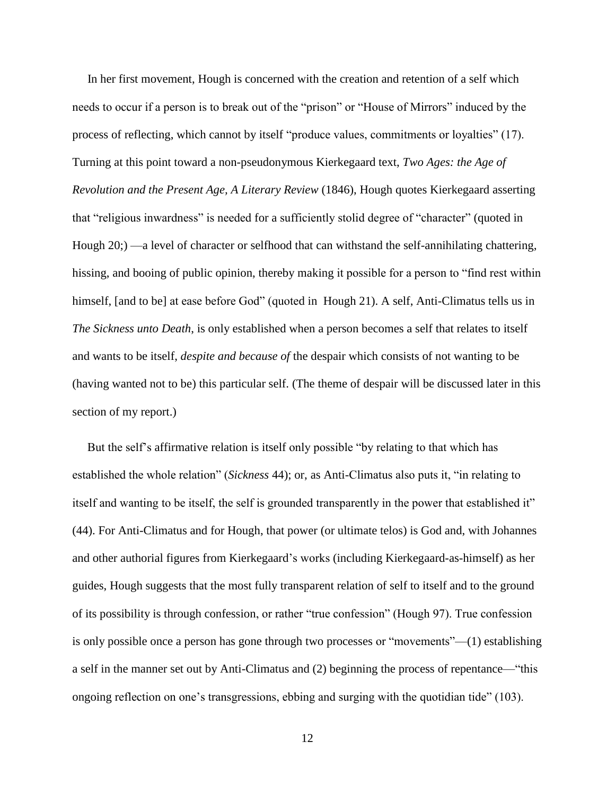In her first movement, Hough is concerned with the creation and retention of a self which needs to occur if a person is to break out of the "prison" or "House of Mirrors" induced by the process of reflecting, which cannot by itself "produce values, commitments or loyalties" (17). Turning at this point toward a non-pseudonymous Kierkegaard text, *Two Ages: the Age of Revolution and the Present Age, A Literary Review* (1846), Hough quotes Kierkegaard asserting that "religious inwardness" is needed for a sufficiently stolid degree of "character" (quoted in Hough 20;) —a level of character or selfhood that can withstand the self-annihilating chattering, hissing, and booing of public opinion, thereby making it possible for a person to "find rest within himself, [and to be] at ease before God" (quoted in Hough 21). A self, Anti-Climatus tells us in *The Sickness unto Death*, is only established when a person becomes a self that relates to itself and wants to be itself, *despite and because of* the despair which consists of not wanting to be (having wanted not to be) this particular self. (The theme of despair will be discussed later in this section of my report.)

 But the self's affirmative relation is itself only possible "by relating to that which has established the whole relation" (*Sickness* 44); or, as Anti-Climatus also puts it, "in relating to itself and wanting to be itself, the self is grounded transparently in the power that established it" (44). For Anti-Climatus and for Hough, that power (or ultimate telos) is God and, with Johannes and other authorial figures from Kierkegaard's works (including Kierkegaard-as-himself) as her guides, Hough suggests that the most fully transparent relation of self to itself and to the ground of its possibility is through confession, or rather "true confession" (Hough 97). True confession is only possible once a person has gone through two processes or "movements"—(1) establishing a self in the manner set out by Anti-Climatus and (2) beginning the process of repentance—"this ongoing reflection on one's transgressions, ebbing and surging with the quotidian tide" (103).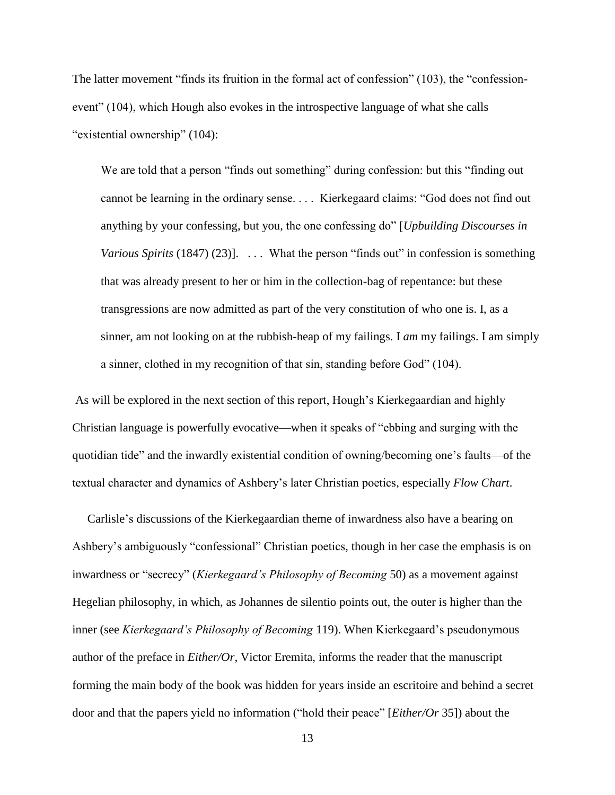The latter movement "finds its fruition in the formal act of confession" (103), the "confessionevent" (104), which Hough also evokes in the introspective language of what she calls "existential ownership" (104):

We are told that a person "finds out something" during confession: but this "finding out cannot be learning in the ordinary sense. . . . Kierkegaard claims: "God does not find out anything by your confessing, but you, the one confessing do" [*Upbuilding Discourses in Various Spirits* (1847) (23)]. ... What the person "finds out" in confession is something that was already present to her or him in the collection-bag of repentance: but these transgressions are now admitted as part of the very constitution of who one is. I, as a sinner, am not looking on at the rubbish-heap of my failings. I *am* my failings. I am simply a sinner, clothed in my recognition of that sin, standing before God" (104).

As will be explored in the next section of this report, Hough's Kierkegaardian and highly Christian language is powerfully evocative—when it speaks of "ebbing and surging with the quotidian tide" and the inwardly existential condition of owning/becoming one's faults—of the textual character and dynamics of Ashbery's later Christian poetics, especially *Flow Chart*.

 Carlisle's discussions of the Kierkegaardian theme of inwardness also have a bearing on Ashbery's ambiguously "confessional" Christian poetics, though in her case the emphasis is on inwardness or "secrecy" (*Kierkegaard's Philosophy of Becoming* 50) as a movement against Hegelian philosophy, in which, as Johannes de silentio points out, the outer is higher than the inner (see *Kierkegaard's Philosophy of Becoming* 119). When Kierkegaard's pseudonymous author of the preface in *Either/Or*, Victor Eremita, informs the reader that the manuscript forming the main body of the book was hidden for years inside an escritoire and behind a secret door and that the papers yield no information ("hold their peace" [*Either/Or* 35]) about the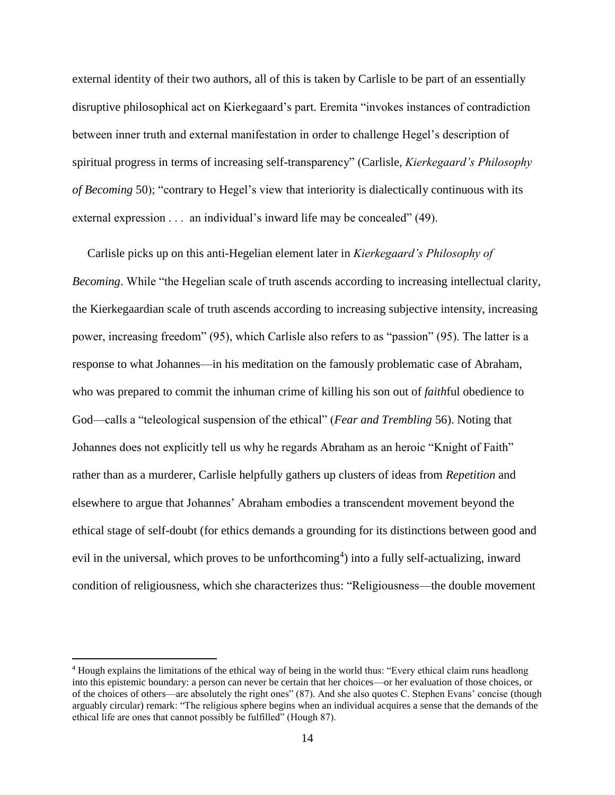external identity of their two authors, all of this is taken by Carlisle to be part of an essentially disruptive philosophical act on Kierkegaard's part. Eremita "invokes instances of contradiction between inner truth and external manifestation in order to challenge Hegel's description of spiritual progress in terms of increasing self-transparency" (Carlisle, *Kierkegaard's Philosophy of Becoming* 50); "contrary to Hegel's view that interiority is dialectically continuous with its external expression . . . an individual's inward life may be concealed" (49).

 Carlisle picks up on this anti-Hegelian element later in *Kierkegaard's Philosophy of Becoming*. While "the Hegelian scale of truth ascends according to increasing intellectual clarity, the Kierkegaardian scale of truth ascends according to increasing subjective intensity, increasing power, increasing freedom" (95), which Carlisle also refers to as "passion" (95). The latter is a response to what Johannes—in his meditation on the famously problematic case of Abraham, who was prepared to commit the inhuman crime of killing his son out of *faith*ful obedience to God—calls a "teleological suspension of the ethical" (*Fear and Trembling* 56). Noting that Johannes does not explicitly tell us why he regards Abraham as an heroic "Knight of Faith" rather than as a murderer, Carlisle helpfully gathers up clusters of ideas from *Repetition* and elsewhere to argue that Johannes' Abraham embodies a transcendent movement beyond the ethical stage of self-doubt (for ethics demands a grounding for its distinctions between good and evil in the universal, which proves to be unforthcoming<sup>4</sup>) into a fully self-actualizing, inward condition of religiousness, which she characterizes thus: "Religiousness—the double movement

 $\overline{a}$ 

<sup>4</sup> Hough explains the limitations of the ethical way of being in the world thus: "Every ethical claim runs headlong into this epistemic boundary: a person can never be certain that her choices—or her evaluation of those choices, or of the choices of others—are absolutely the right ones" (87). And she also quotes C. Stephen Evans' concise (though arguably circular) remark: "The religious sphere begins when an individual acquires a sense that the demands of the ethical life are ones that cannot possibly be fulfilled" (Hough 87).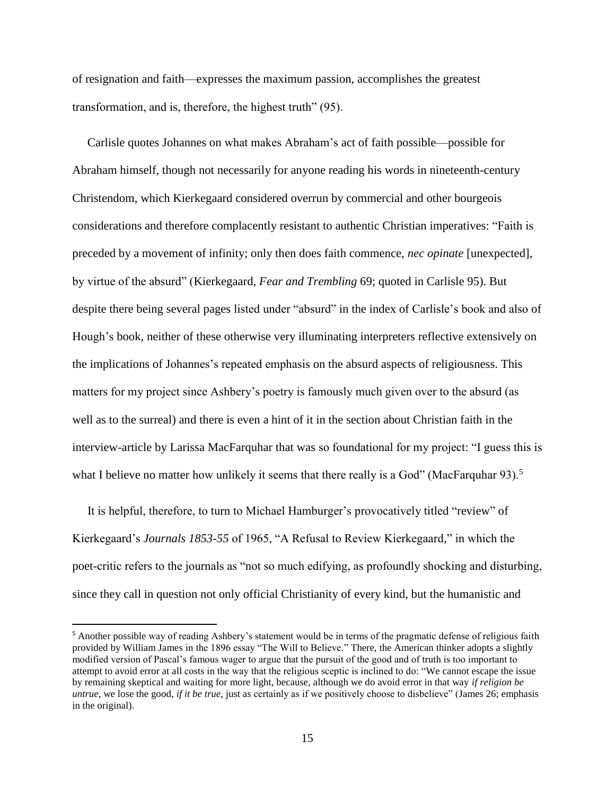of resignation and faith—expresses the maximum passion, accomplishes the greatest transformation, and is, therefore, the highest truth" (95).

 Carlisle quotes Johannes on what makes Abraham's act of faith possible—possible for Abraham himself, though not necessarily for anyone reading his words in nineteenth-century Christendom, which Kierkegaard considered overrun by commercial and other bourgeois considerations and therefore complacently resistant to authentic Christian imperatives: "Faith is preceded by a movement of infinity; only then does faith commence, *nec opinate* [unexpected], by virtue of the absurd" (Kierkegaard, *Fear and Trembling* 69; quoted in Carlisle 95). But despite there being several pages listed under "absurd" in the index of Carlisle's book and also of Hough's book, neither of these otherwise very illuminating interpreters reflective extensively on the implications of Johannes's repeated emphasis on the absurd aspects of religiousness. This matters for my project since Ashbery's poetry is famously much given over to the absurd (as well as to the surreal) and there is even a hint of it in the section about Christian faith in the interview-article by Larissa MacFarquhar that was so foundational for my project: "I guess this is what I believe no matter how unlikely it seems that there really is a God" (MacFarquhar 93).<sup>5</sup>

 It is helpful, therefore, to turn to Michael Hamburger's provocatively titled "review" of Kierkegaard's *Journals 1853-55* of 1965, "A Refusal to Review Kierkegaard," in which the poet-critic refers to the journals as "not so much edifying, as profoundly shocking and disturbing, since they call in question not only official Christianity of every kind, but the humanistic and

l

<sup>&</sup>lt;sup>5</sup> Another possible way of reading Ashbery's statement would be in terms of the pragmatic defense of religious faith provided by William James in the 1896 essay "The Will to Believe." There, the American thinker adopts a slightly modified version of Pascal's famous wager to argue that the pursuit of the good and of truth is too important to attempt to avoid error at all costs in the way that the religious sceptic is inclined to do: "We cannot escape the issue by remaining skeptical and waiting for more light, because, although we do avoid error in that way *if religion be untrue*, we lose the good, *if it be true*, just as certainly as if we positively choose to disbelieve" (James 26; emphasis in the original).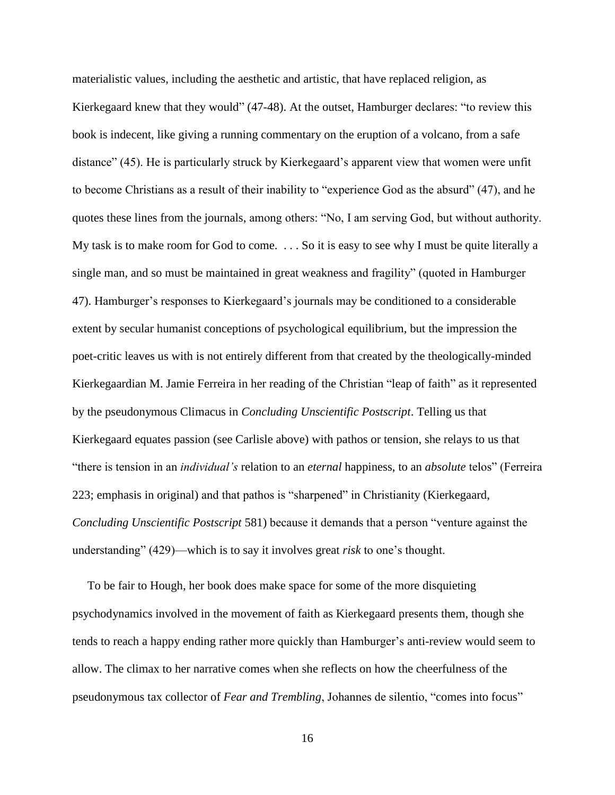materialistic values, including the aesthetic and artistic, that have replaced religion, as Kierkegaard knew that they would" (47-48). At the outset, Hamburger declares: "to review this book is indecent, like giving a running commentary on the eruption of a volcano, from a safe distance" (45). He is particularly struck by Kierkegaard's apparent view that women were unfit to become Christians as a result of their inability to "experience God as the absurd" (47), and he quotes these lines from the journals, among others: "No, I am serving God, but without authority. My task is to make room for God to come. . . . So it is easy to see why I must be quite literally a single man, and so must be maintained in great weakness and fragility" (quoted in Hamburger 47). Hamburger's responses to Kierkegaard's journals may be conditioned to a considerable extent by secular humanist conceptions of psychological equilibrium, but the impression the poet-critic leaves us with is not entirely different from that created by the theologically-minded Kierkegaardian M. Jamie Ferreira in her reading of the Christian "leap of faith" as it represented by the pseudonymous Climacus in *Concluding Unscientific Postscript*. Telling us that Kierkegaard equates passion (see Carlisle above) with pathos or tension, she relays to us that "there is tension in an *individual's* relation to an *eternal* happiness, to an *absolute* telos" (Ferreira 223; emphasis in original) and that pathos is "sharpened" in Christianity (Kierkegaard, *Concluding Unscientific Postscript* 581) because it demands that a person "venture against the understanding" (429)—which is to say it involves great *risk* to one's thought.

 To be fair to Hough, her book does make space for some of the more disquieting psychodynamics involved in the movement of faith as Kierkegaard presents them, though she tends to reach a happy ending rather more quickly than Hamburger's anti-review would seem to allow. The climax to her narrative comes when she reflects on how the cheerfulness of the pseudonymous tax collector of *Fear and Trembling*, Johannes de silentio, "comes into focus"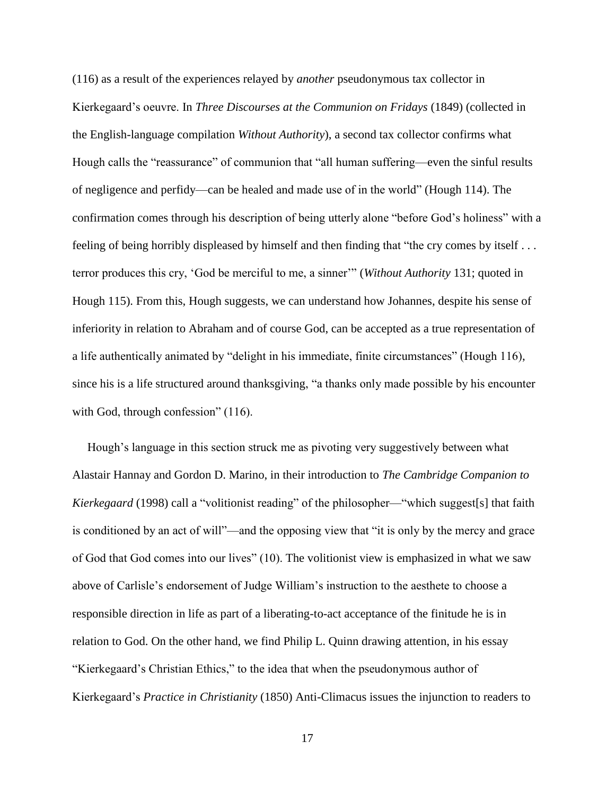(116) as a result of the experiences relayed by *another* pseudonymous tax collector in Kierkegaard's oeuvre. In *Three Discourses at the Communion on Fridays* (1849) (collected in the English-language compilation *Without Authority*), a second tax collector confirms what Hough calls the "reassurance" of communion that "all human suffering—even the sinful results of negligence and perfidy—can be healed and made use of in the world" (Hough 114). The confirmation comes through his description of being utterly alone "before God's holiness" with a feeling of being horribly displeased by himself and then finding that "the cry comes by itself . . . terror produces this cry, 'God be merciful to me, a sinner'" (*Without Authority* 131; quoted in Hough 115). From this, Hough suggests, we can understand how Johannes, despite his sense of inferiority in relation to Abraham and of course God, can be accepted as a true representation of a life authentically animated by "delight in his immediate, finite circumstances" (Hough 116), since his is a life structured around thanksgiving, "a thanks only made possible by his encounter with God, through confession" (116).

 Hough's language in this section struck me as pivoting very suggestively between what Alastair Hannay and Gordon D. Marino, in their introduction to *The Cambridge Companion to Kierkegaard* (1998) call a "volitionist reading" of the philosopher—"which suggest[s] that faith is conditioned by an act of will"—and the opposing view that "it is only by the mercy and grace of God that God comes into our lives" (10). The volitionist view is emphasized in what we saw above of Carlisle's endorsement of Judge William's instruction to the aesthete to choose a responsible direction in life as part of a liberating-to-act acceptance of the finitude he is in relation to God. On the other hand, we find Philip L. Quinn drawing attention, in his essay "Kierkegaard's Christian Ethics," to the idea that when the pseudonymous author of Kierkegaard's *Practice in Christianity* (1850) Anti-Climacus issues the injunction to readers to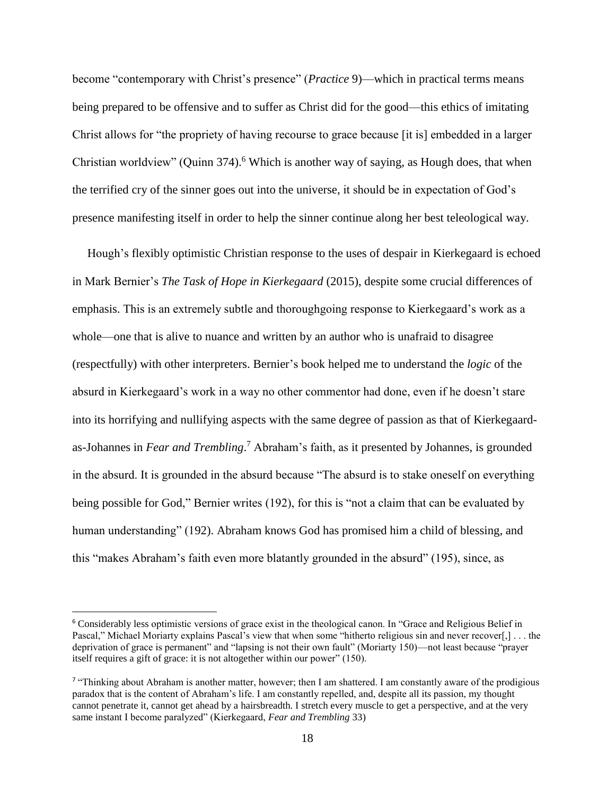become "contemporary with Christ's presence" (*Practice* 9)—which in practical terms means being prepared to be offensive and to suffer as Christ did for the good—this ethics of imitating Christ allows for "the propriety of having recourse to grace because [it is] embedded in a larger Christian worldview" (Quinn 374).<sup>6</sup> Which is another way of saying, as Hough does, that when the terrified cry of the sinner goes out into the universe, it should be in expectation of God's presence manifesting itself in order to help the sinner continue along her best teleological way.

 Hough's flexibly optimistic Christian response to the uses of despair in Kierkegaard is echoed in Mark Bernier's *The Task of Hope in Kierkegaard* (2015), despite some crucial differences of emphasis. This is an extremely subtle and thoroughgoing response to Kierkegaard's work as a whole—one that is alive to nuance and written by an author who is unafraid to disagree (respectfully) with other interpreters. Bernier's book helped me to understand the *logic* of the absurd in Kierkegaard's work in a way no other commentor had done, even if he doesn't stare into its horrifying and nullifying aspects with the same degree of passion as that of Kierkegaardas-Johannes in *Fear and Trembling*. <sup>7</sup> Abraham's faith, as it presented by Johannes, is grounded in the absurd. It is grounded in the absurd because "The absurd is to stake oneself on everything being possible for God," Bernier writes (192), for this is "not a claim that can be evaluated by human understanding" (192). Abraham knows God has promised him a child of blessing, and this "makes Abraham's faith even more blatantly grounded in the absurd" (195), since, as

 $\overline{\phantom{a}}$ 

<sup>6</sup> Considerably less optimistic versions of grace exist in the theological canon. In "Grace and Religious Belief in Pascal," Michael Moriarty explains Pascal's view that when some "hitherto religious sin and never recover[,] . . . the deprivation of grace is permanent" and "lapsing is not their own fault" (Moriarty 150)—not least because "prayer itself requires a gift of grace: it is not altogether within our power" (150).

<sup>&</sup>lt;sup>7</sup> "Thinking about Abraham is another matter, however; then I am shattered. I am constantly aware of the prodigious paradox that is the content of Abraham's life. I am constantly repelled, and, despite all its passion, my thought cannot penetrate it, cannot get ahead by a hairsbreadth. I stretch every muscle to get a perspective, and at the very same instant I become paralyzed" (Kierkegaard, *Fear and Trembling* 33)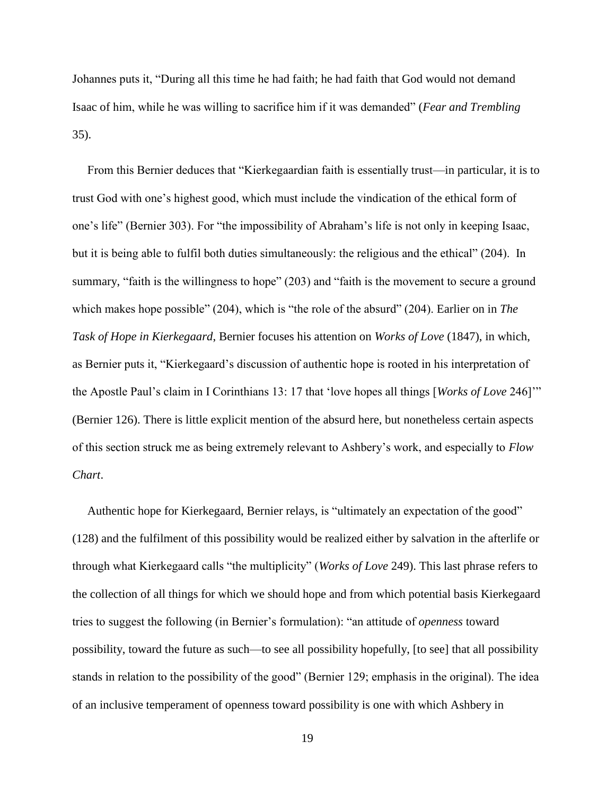Johannes puts it, "During all this time he had faith; he had faith that God would not demand Isaac of him, while he was willing to sacrifice him if it was demanded" (*Fear and Trembling*  35).

 From this Bernier deduces that "Kierkegaardian faith is essentially trust—in particular, it is to trust God with one's highest good, which must include the vindication of the ethical form of one's life" (Bernier 303). For "the impossibility of Abraham's life is not only in keeping Isaac, but it is being able to fulfil both duties simultaneously: the religious and the ethical" (204). In summary, "faith is the willingness to hope" (203) and "faith is the movement to secure a ground which makes hope possible" (204), which is "the role of the absurd" (204). Earlier on in *The Task of Hope in Kierkegaard*, Bernier focuses his attention on *Works of Love* (1847), in which, as Bernier puts it, "Kierkegaard's discussion of authentic hope is rooted in his interpretation of the Apostle Paul's claim in I Corinthians 13: 17 that 'love hopes all things [*Works of Love* 246]'" (Bernier 126). There is little explicit mention of the absurd here, but nonetheless certain aspects of this section struck me as being extremely relevant to Ashbery's work, and especially to *Flow Chart*.

 Authentic hope for Kierkegaard, Bernier relays, is "ultimately an expectation of the good" (128) and the fulfilment of this possibility would be realized either by salvation in the afterlife or through what Kierkegaard calls "the multiplicity" (*Works of Love* 249). This last phrase refers to the collection of all things for which we should hope and from which potential basis Kierkegaard tries to suggest the following (in Bernier's formulation): "an attitude of *openness* toward possibility, toward the future as such—to see all possibility hopefully, [to see] that all possibility stands in relation to the possibility of the good" (Bernier 129; emphasis in the original). The idea of an inclusive temperament of openness toward possibility is one with which Ashbery in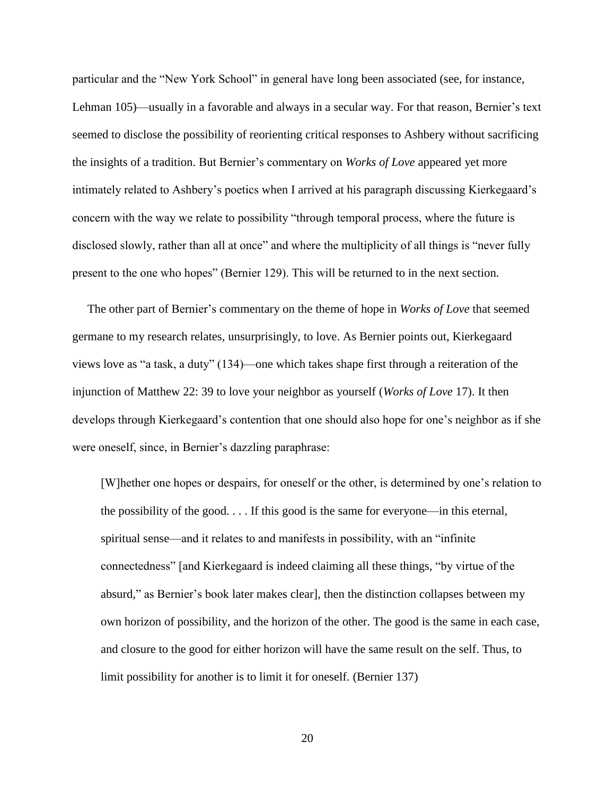particular and the "New York School" in general have long been associated (see, for instance, Lehman 105)—usually in a favorable and always in a secular way. For that reason, Bernier's text seemed to disclose the possibility of reorienting critical responses to Ashbery without sacrificing the insights of a tradition. But Bernier's commentary on *Works of Love* appeared yet more intimately related to Ashbery's poetics when I arrived at his paragraph discussing Kierkegaard's concern with the way we relate to possibility "through temporal process, where the future is disclosed slowly, rather than all at once" and where the multiplicity of all things is "never fully present to the one who hopes" (Bernier 129). This will be returned to in the next section.

 The other part of Bernier's commentary on the theme of hope in *Works of Love* that seemed germane to my research relates, unsurprisingly, to love. As Bernier points out, Kierkegaard views love as "a task, a duty" (134)—one which takes shape first through a reiteration of the injunction of Matthew 22: 39 to love your neighbor as yourself (*Works of Love* 17). It then develops through Kierkegaard's contention that one should also hope for one's neighbor as if she were oneself, since, in Bernier's dazzling paraphrase:

[W]hether one hopes or despairs, for oneself or the other, is determined by one's relation to the possibility of the good. . . . If this good is the same for everyone—in this eternal, spiritual sense—and it relates to and manifests in possibility, with an "infinite connectedness" [and Kierkegaard is indeed claiming all these things, "by virtue of the absurd," as Bernier's book later makes clear], then the distinction collapses between my own horizon of possibility, and the horizon of the other. The good is the same in each case, and closure to the good for either horizon will have the same result on the self. Thus, to limit possibility for another is to limit it for oneself. (Bernier 137)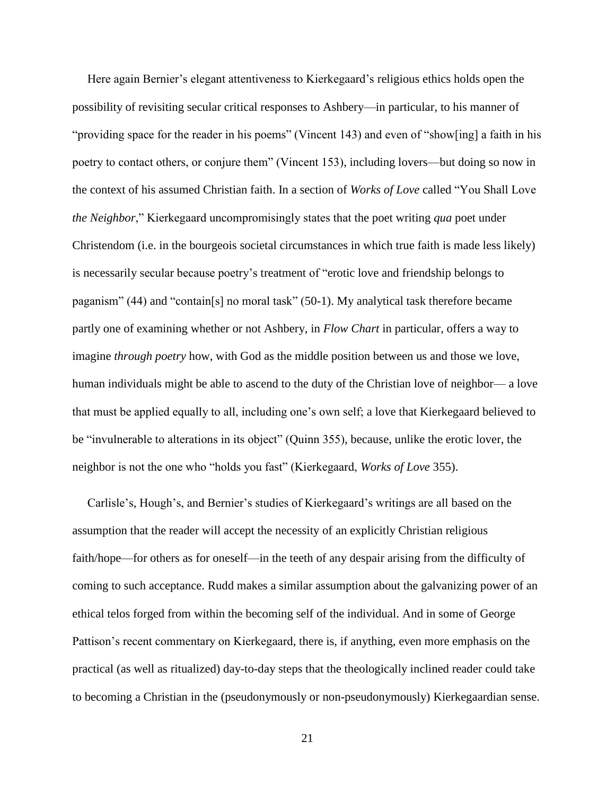Here again Bernier's elegant attentiveness to Kierkegaard's religious ethics holds open the possibility of revisiting secular critical responses to Ashbery—in particular, to his manner of "providing space for the reader in his poems" (Vincent 143) and even of "show[ing] a faith in his poetry to contact others, or conjure them" (Vincent 153), including lovers—but doing so now in the context of his assumed Christian faith. In a section of *Works of Love* called "You Shall Love *the Neighbor*," Kierkegaard uncompromisingly states that the poet writing *qua* poet under Christendom (i.e. in the bourgeois societal circumstances in which true faith is made less likely) is necessarily secular because poetry's treatment of "erotic love and friendship belongs to paganism" (44) and "contain[s] no moral task" (50-1). My analytical task therefore became partly one of examining whether or not Ashbery, in *Flow Chart* in particular, offers a way to imagine *through poetry* how, with God as the middle position between us and those we love, human individuals might be able to ascend to the duty of the Christian love of neighbor— a love that must be applied equally to all, including one's own self; a love that Kierkegaard believed to be "invulnerable to alterations in its object" (Quinn 355), because, unlike the erotic lover, the neighbor is not the one who "holds you fast" (Kierkegaard, *Works of Love* 355).

 Carlisle's, Hough's, and Bernier's studies of Kierkegaard's writings are all based on the assumption that the reader will accept the necessity of an explicitly Christian religious faith/hope—for others as for oneself—in the teeth of any despair arising from the difficulty of coming to such acceptance. Rudd makes a similar assumption about the galvanizing power of an ethical telos forged from within the becoming self of the individual. And in some of George Pattison's recent commentary on Kierkegaard, there is, if anything, even more emphasis on the practical (as well as ritualized) day-to-day steps that the theologically inclined reader could take to becoming a Christian in the (pseudonymously or non-pseudonymously) Kierkegaardian sense.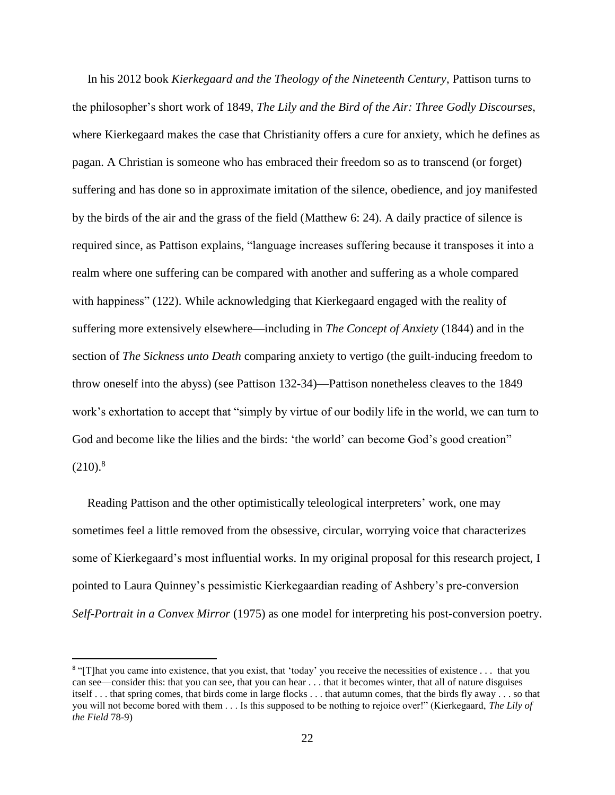In his 2012 book *Kierkegaard and the Theology of the Nineteenth Century*, Pattison turns to the philosopher's short work of 1849, *The Lily and the Bird of the Air: Three Godly Discourses*, where Kierkegaard makes the case that Christianity offers a cure for anxiety, which he defines as pagan. A Christian is someone who has embraced their freedom so as to transcend (or forget) suffering and has done so in approximate imitation of the silence, obedience, and joy manifested by the birds of the air and the grass of the field (Matthew 6: 24). A daily practice of silence is required since, as Pattison explains, "language increases suffering because it transposes it into a realm where one suffering can be compared with another and suffering as a whole compared with happiness" (122). While acknowledging that Kierkegaard engaged with the reality of suffering more extensively elsewhere—including in *The Concept of Anxiety* (1844) and in the section of *The Sickness unto Death* comparing anxiety to vertigo (the guilt-inducing freedom to throw oneself into the abyss) (see Pattison 132-34)—Pattison nonetheless cleaves to the 1849 work's exhortation to accept that "simply by virtue of our bodily life in the world, we can turn to God and become like the lilies and the birds: 'the world' can become God's good creation''  $(210)^8$ 

 Reading Pattison and the other optimistically teleological interpreters' work, one may sometimes feel a little removed from the obsessive, circular, worrying voice that characterizes some of Kierkegaard's most influential works. In my original proposal for this research project, I pointed to Laura Quinney's pessimistic Kierkegaardian reading of Ashbery's pre-conversion *Self-Portrait in a Convex Mirror* (1975) as one model for interpreting his post-conversion poetry.

 $\overline{a}$ 

<sup>&</sup>lt;sup>8</sup> "[T]hat you came into existence, that you exist, that 'today' you receive the necessities of existence . . . that you can see—consider this: that you can see, that you can hear . . . that it becomes winter, that all of nature disguises itself . . . that spring comes, that birds come in large flocks . . . that autumn comes, that the birds fly away . . . so that you will not become bored with them . . . Is this supposed to be nothing to rejoice over!" (Kierkegaard, *The Lily of the Field* 78-9)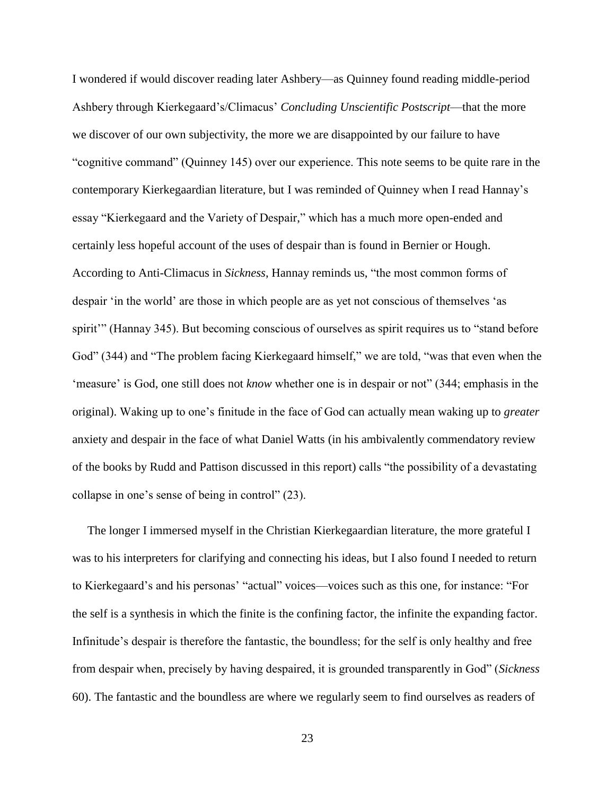I wondered if would discover reading later Ashbery—as Quinney found reading middle-period Ashbery through Kierkegaard's/Climacus' *Concluding Unscientific Postscript*—that the more we discover of our own subjectivity, the more we are disappointed by our failure to have "cognitive command" (Quinney 145) over our experience. This note seems to be quite rare in the contemporary Kierkegaardian literature, but I was reminded of Quinney when I read Hannay's essay "Kierkegaard and the Variety of Despair," which has a much more open-ended and certainly less hopeful account of the uses of despair than is found in Bernier or Hough. According to Anti-Climacus in *Sickness*, Hannay reminds us, "the most common forms of despair 'in the world' are those in which people are as yet not conscious of themselves 'as spirit'" (Hannay 345). But becoming conscious of ourselves as spirit requires us to "stand before God" (344) and "The problem facing Kierkegaard himself," we are told, "was that even when the 'measure' is God, one still does not *know* whether one is in despair or not" (344; emphasis in the original). Waking up to one's finitude in the face of God can actually mean waking up to *greater* anxiety and despair in the face of what Daniel Watts (in his ambivalently commendatory review of the books by Rudd and Pattison discussed in this report) calls "the possibility of a devastating collapse in one's sense of being in control" (23).

 The longer I immersed myself in the Christian Kierkegaardian literature, the more grateful I was to his interpreters for clarifying and connecting his ideas, but I also found I needed to return to Kierkegaard's and his personas' "actual" voices—voices such as this one, for instance: "For the self is a synthesis in which the finite is the confining factor, the infinite the expanding factor. Infinitude's despair is therefore the fantastic, the boundless; for the self is only healthy and free from despair when, precisely by having despaired, it is grounded transparently in God" (*Sickness* 60). The fantastic and the boundless are where we regularly seem to find ourselves as readers of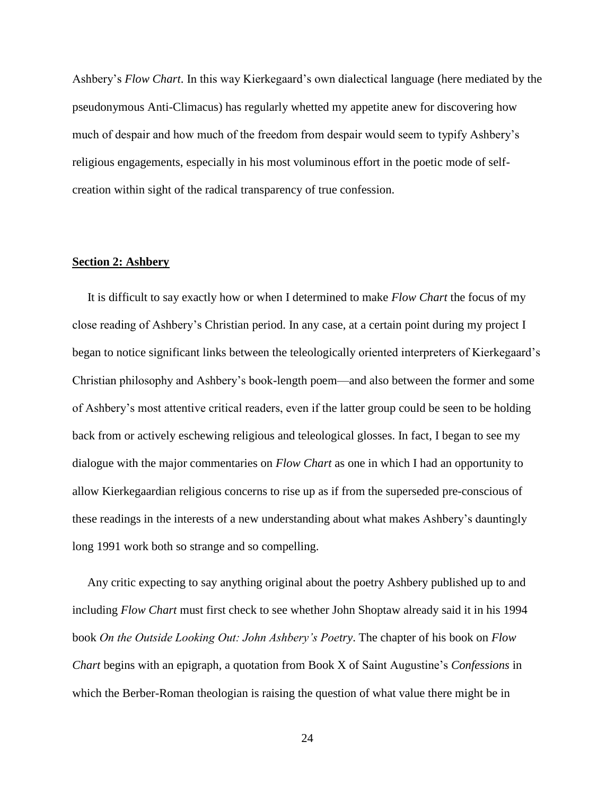Ashbery's *Flow Chart*. In this way Kierkegaard's own dialectical language (here mediated by the pseudonymous Anti-Climacus) has regularly whetted my appetite anew for discovering how much of despair and how much of the freedom from despair would seem to typify Ashbery's religious engagements, especially in his most voluminous effort in the poetic mode of selfcreation within sight of the radical transparency of true confession.

#### **Section 2: Ashbery**

 It is difficult to say exactly how or when I determined to make *Flow Chart* the focus of my close reading of Ashbery's Christian period. In any case, at a certain point during my project I began to notice significant links between the teleologically oriented interpreters of Kierkegaard's Christian philosophy and Ashbery's book-length poem—and also between the former and some of Ashbery's most attentive critical readers, even if the latter group could be seen to be holding back from or actively eschewing religious and teleological glosses. In fact, I began to see my dialogue with the major commentaries on *Flow Chart* as one in which I had an opportunity to allow Kierkegaardian religious concerns to rise up as if from the superseded pre-conscious of these readings in the interests of a new understanding about what makes Ashbery's dauntingly long 1991 work both so strange and so compelling.

 Any critic expecting to say anything original about the poetry Ashbery published up to and including *Flow Chart* must first check to see whether John Shoptaw already said it in his 1994 book *On the Outside Looking Out: John Ashbery's Poetry*. The chapter of his book on *Flow Chart* begins with an epigraph, a quotation from Book X of Saint Augustine's *Confessions* in which the Berber-Roman theologian is raising the question of what value there might be in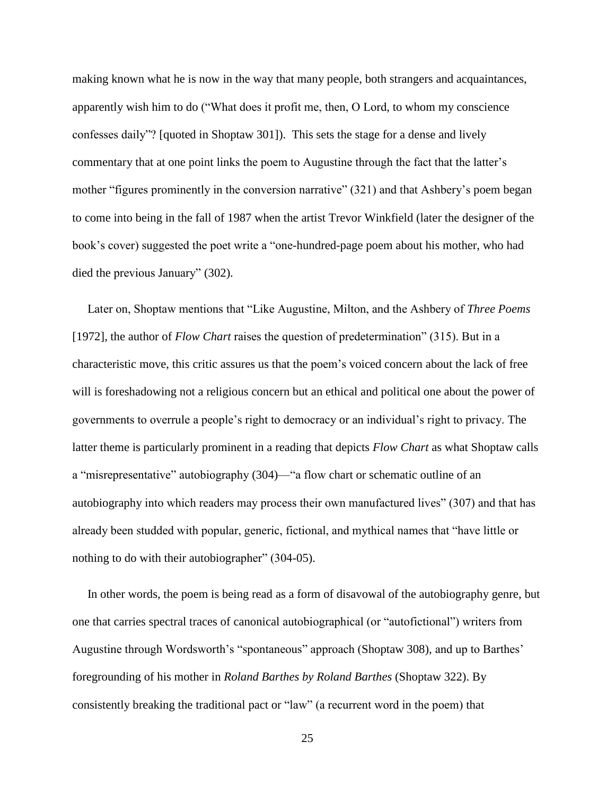making known what he is now in the way that many people, both strangers and acquaintances, apparently wish him to do ("What does it profit me, then, O Lord, to whom my conscience confesses daily"? [quoted in Shoptaw 301]). This sets the stage for a dense and lively commentary that at one point links the poem to Augustine through the fact that the latter's mother "figures prominently in the conversion narrative" (321) and that Ashbery's poem began to come into being in the fall of 1987 when the artist Trevor Winkfield (later the designer of the book's cover) suggested the poet write a "one-hundred-page poem about his mother, who had died the previous January" (302).

 Later on, Shoptaw mentions that "Like Augustine, Milton, and the Ashbery of *Three Poems* [1972], the author of *Flow Chart* raises the question of predetermination" (315). But in a characteristic move, this critic assures us that the poem's voiced concern about the lack of free will is foreshadowing not a religious concern but an ethical and political one about the power of governments to overrule a people's right to democracy or an individual's right to privacy. The latter theme is particularly prominent in a reading that depicts *Flow Chart* as what Shoptaw calls a "misrepresentative" autobiography (304)—"a flow chart or schematic outline of an autobiography into which readers may process their own manufactured lives" (307) and that has already been studded with popular, generic, fictional, and mythical names that "have little or nothing to do with their autobiographer" (304-05).

 In other words, the poem is being read as a form of disavowal of the autobiography genre, but one that carries spectral traces of canonical autobiographical (or "autofictional") writers from Augustine through Wordsworth's "spontaneous" approach (Shoptaw 308), and up to Barthes' foregrounding of his mother in *Roland Barthes by Roland Barthes* (Shoptaw 322). By consistently breaking the traditional pact or "law" (a recurrent word in the poem) that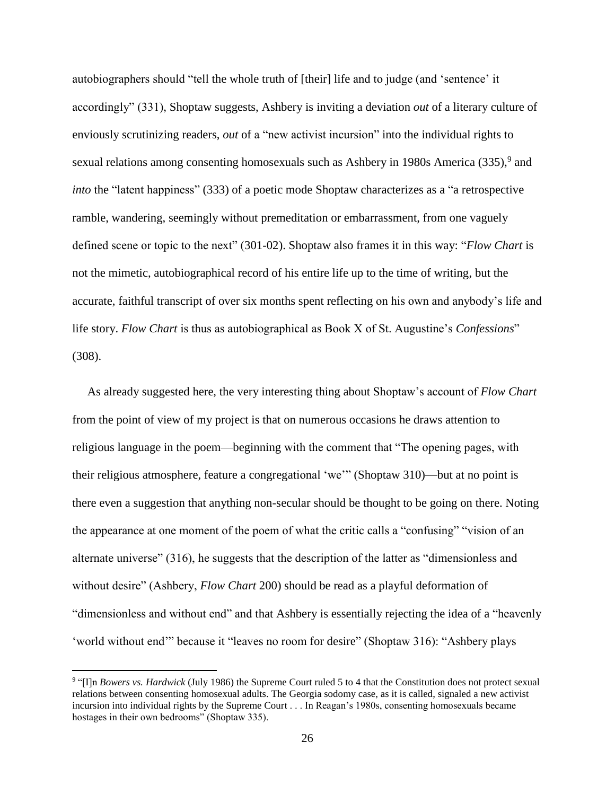autobiographers should "tell the whole truth of [their] life and to judge (and 'sentence' it accordingly" (331), Shoptaw suggests, Ashbery is inviting a deviation *out* of a literary culture of enviously scrutinizing readers, *out* of a "new activist incursion" into the individual rights to sexual relations among consenting homosexuals such as Ashbery in 1980s America  $(335)$ , and *into* the "latent happiness" (333) of a poetic mode Shoptaw characterizes as a "a retrospective ramble, wandering, seemingly without premeditation or embarrassment, from one vaguely defined scene or topic to the next" (301-02). Shoptaw also frames it in this way: "*Flow Chart* is not the mimetic, autobiographical record of his entire life up to the time of writing, but the accurate, faithful transcript of over six months spent reflecting on his own and anybody's life and life story. *Flow Chart* is thus as autobiographical as Book X of St. Augustine's *Confessions*" (308).

 As already suggested here, the very interesting thing about Shoptaw's account of *Flow Chart* from the point of view of my project is that on numerous occasions he draws attention to religious language in the poem—beginning with the comment that "The opening pages, with their religious atmosphere, feature a congregational 'we'" (Shoptaw 310)—but at no point is there even a suggestion that anything non-secular should be thought to be going on there. Noting the appearance at one moment of the poem of what the critic calls a "confusing" "vision of an alternate universe" (316), he suggests that the description of the latter as "dimensionless and without desire" (Ashbery, *Flow Chart* 200) should be read as a playful deformation of "dimensionless and without end" and that Ashbery is essentially rejecting the idea of a "heavenly 'world without end'" because it "leaves no room for desire" (Shoptaw 316): "Ashbery plays

 $\overline{\phantom{a}}$ 

<sup>&</sup>lt;sup>9</sup> "[I]n *Bowers vs. Hardwick* (July 1986) the Supreme Court ruled 5 to 4 that the Constitution does not protect sexual relations between consenting homosexual adults. The Georgia sodomy case, as it is called, signaled a new activist incursion into individual rights by the Supreme Court . . . In Reagan's 1980s, consenting homosexuals became hostages in their own bedrooms" (Shoptaw 335).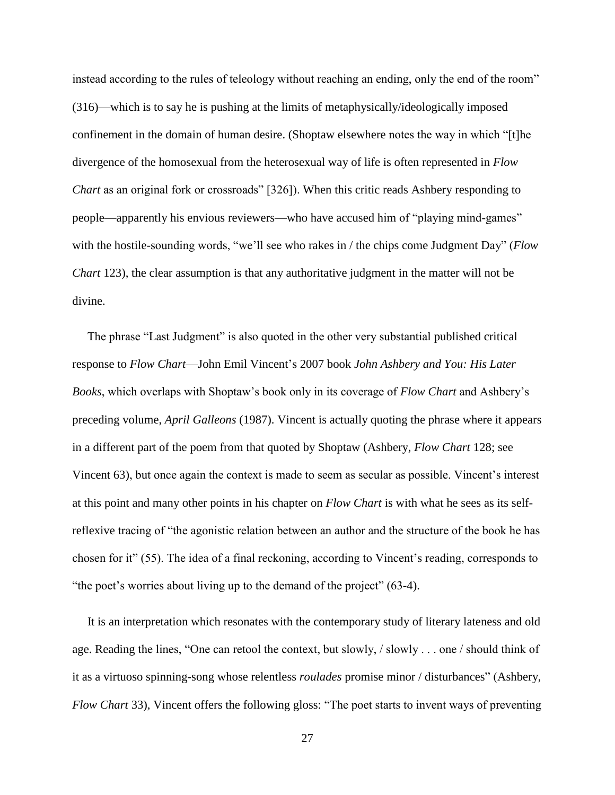instead according to the rules of teleology without reaching an ending, only the end of the room" (316)—which is to say he is pushing at the limits of metaphysically/ideologically imposed confinement in the domain of human desire. (Shoptaw elsewhere notes the way in which "[t]he divergence of the homosexual from the heterosexual way of life is often represented in *Flow Chart* as an original fork or crossroads" [326]). When this critic reads Ashbery responding to people—apparently his envious reviewers—who have accused him of "playing mind-games" with the hostile-sounding words, "we'll see who rakes in / the chips come Judgment Day" (*Flow Chart* 123), the clear assumption is that any authoritative judgment in the matter will not be divine.

 The phrase "Last Judgment" is also quoted in the other very substantial published critical response to *Flow Chart*—John Emil Vincent's 2007 book *John Ashbery and You: His Later Books*, which overlaps with Shoptaw's book only in its coverage of *Flow Chart* and Ashbery's preceding volume, *April Galleons* (1987). Vincent is actually quoting the phrase where it appears in a different part of the poem from that quoted by Shoptaw (Ashbery, *Flow Chart* 128; see Vincent 63), but once again the context is made to seem as secular as possible. Vincent's interest at this point and many other points in his chapter on *Flow Chart* is with what he sees as its selfreflexive tracing of "the agonistic relation between an author and the structure of the book he has chosen for it" (55). The idea of a final reckoning, according to Vincent's reading, corresponds to "the poet's worries about living up to the demand of the project" (63-4).

 It is an interpretation which resonates with the contemporary study of literary lateness and old age. Reading the lines, "One can retool the context, but slowly, / slowly . . . one / should think of it as a virtuoso spinning-song whose relentless *roulades* promise minor / disturbances" (Ashbery, *Flow Chart* 33), Vincent offers the following gloss: "The poet starts to invent ways of preventing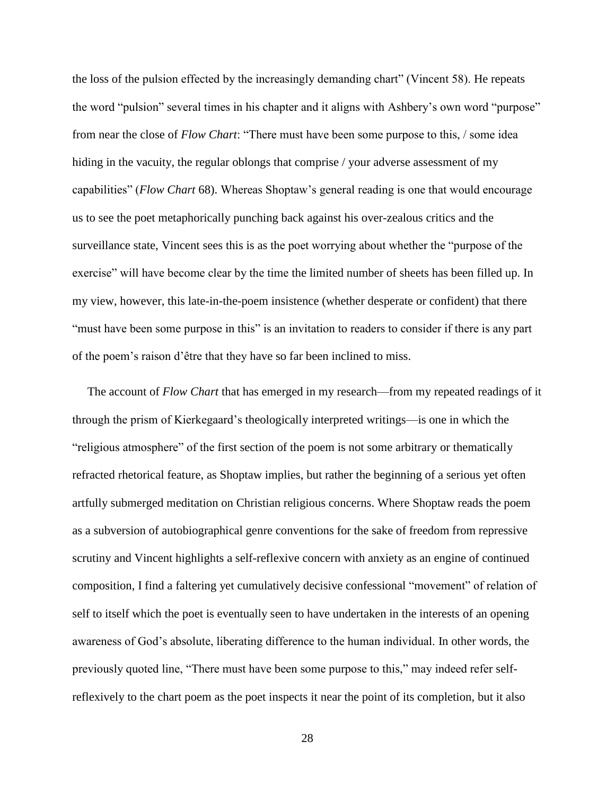the loss of the pulsion effected by the increasingly demanding chart" (Vincent 58). He repeats the word "pulsion" several times in his chapter and it aligns with Ashbery's own word "purpose" from near the close of *Flow Chart*: "There must have been some purpose to this, / some idea hiding in the vacuity, the regular oblongs that comprise / your adverse assessment of my capabilities" (*Flow Chart* 68). Whereas Shoptaw's general reading is one that would encourage us to see the poet metaphorically punching back against his over-zealous critics and the surveillance state, Vincent sees this is as the poet worrying about whether the "purpose of the exercise" will have become clear by the time the limited number of sheets has been filled up. In my view, however, this late-in-the-poem insistence (whether desperate or confident) that there "must have been some purpose in this" is an invitation to readers to consider if there is any part of the poem's raison d'être that they have so far been inclined to miss.

 The account of *Flow Chart* that has emerged in my research—from my repeated readings of it through the prism of Kierkegaard's theologically interpreted writings—is one in which the "religious atmosphere" of the first section of the poem is not some arbitrary or thematically refracted rhetorical feature, as Shoptaw implies, but rather the beginning of a serious yet often artfully submerged meditation on Christian religious concerns. Where Shoptaw reads the poem as a subversion of autobiographical genre conventions for the sake of freedom from repressive scrutiny and Vincent highlights a self-reflexive concern with anxiety as an engine of continued composition, I find a faltering yet cumulatively decisive confessional "movement" of relation of self to itself which the poet is eventually seen to have undertaken in the interests of an opening awareness of God's absolute, liberating difference to the human individual. In other words, the previously quoted line, "There must have been some purpose to this," may indeed refer selfreflexively to the chart poem as the poet inspects it near the point of its completion, but it also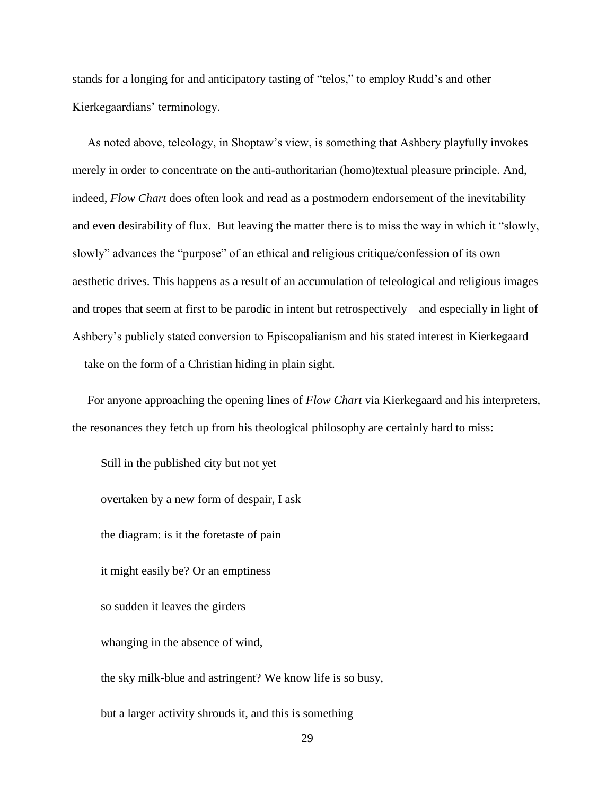stands for a longing for and anticipatory tasting of "telos," to employ Rudd's and other Kierkegaardians' terminology.

 As noted above, teleology, in Shoptaw's view, is something that Ashbery playfully invokes merely in order to concentrate on the anti-authoritarian (homo)textual pleasure principle. And, indeed, *Flow Chart* does often look and read as a postmodern endorsement of the inevitability and even desirability of flux. But leaving the matter there is to miss the way in which it "slowly, slowly" advances the "purpose" of an ethical and religious critique/confession of its own aesthetic drives. This happens as a result of an accumulation of teleological and religious images and tropes that seem at first to be parodic in intent but retrospectively—and especially in light of Ashbery's publicly stated conversion to Episcopalianism and his stated interest in Kierkegaard —take on the form of a Christian hiding in plain sight.

 For anyone approaching the opening lines of *Flow Chart* via Kierkegaard and his interpreters, the resonances they fetch up from his theological philosophy are certainly hard to miss:

Still in the published city but not yet overtaken by a new form of despair, I ask the diagram: is it the foretaste of pain it might easily be? Or an emptiness so sudden it leaves the girders whanging in the absence of wind, the sky milk-blue and astringent? We know life is so busy, but a larger activity shrouds it, and this is something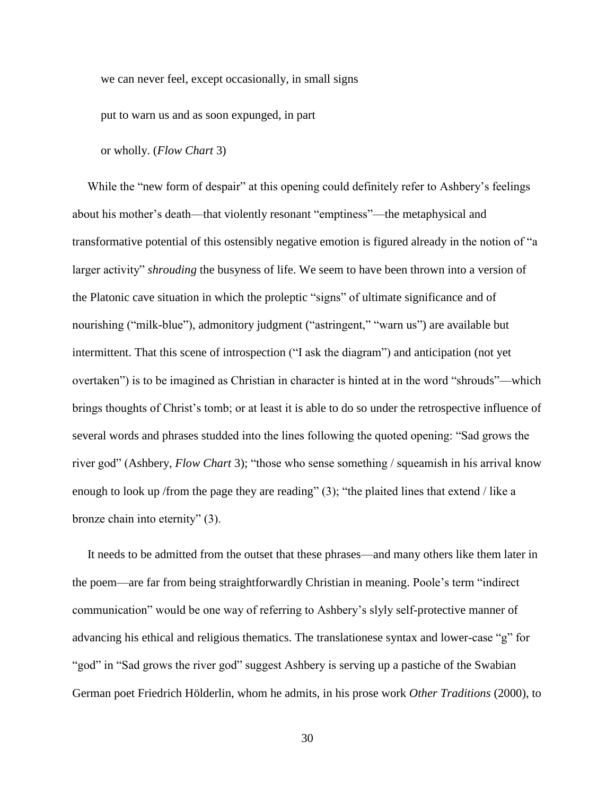we can never feel, except occasionally, in small signs

put to warn us and as soon expunged, in part

or wholly. (*Flow Chart* 3)

While the "new form of despair" at this opening could definitely refer to Ashbery's feelings about his mother's death—that violently resonant "emptiness"—the metaphysical and transformative potential of this ostensibly negative emotion is figured already in the notion of "a larger activity" *shrouding* the busyness of life. We seem to have been thrown into a version of the Platonic cave situation in which the proleptic "signs" of ultimate significance and of nourishing ("milk-blue"), admonitory judgment ("astringent," "warn us") are available but intermittent. That this scene of introspection ("I ask the diagram") and anticipation (not yet overtaken") is to be imagined as Christian in character is hinted at in the word "shrouds"—which brings thoughts of Christ's tomb; or at least it is able to do so under the retrospective influence of several words and phrases studded into the lines following the quoted opening: "Sad grows the river god" (Ashbery, *Flow Chart* 3); "those who sense something / squeamish in his arrival know enough to look up /from the page they are reading" (3); "the plaited lines that extend / like a bronze chain into eternity" (3).

 It needs to be admitted from the outset that these phrases—and many others like them later in the poem—are far from being straightforwardly Christian in meaning. Poole's term "indirect communication" would be one way of referring to Ashbery's slyly self-protective manner of advancing his ethical and religious thematics. The translationese syntax and lower-case "g" for "god" in "Sad grows the river god" suggest Ashbery is serving up a pastiche of the Swabian German poet Friedrich Hölderlin, whom he admits, in his prose work *Other Traditions* (2000), to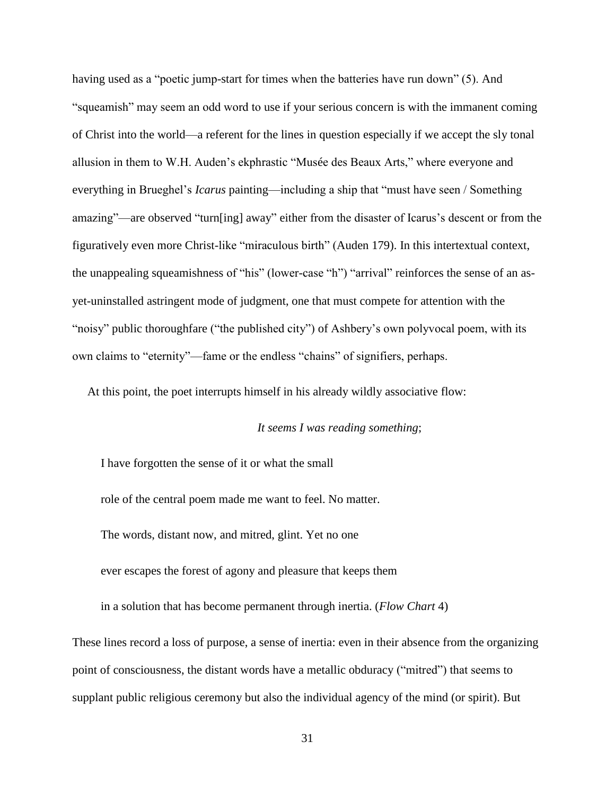having used as a "poetic jump-start for times when the batteries have run down" (5). And "squeamish" may seem an odd word to use if your serious concern is with the immanent coming of Christ into the world—a referent for the lines in question especially if we accept the sly tonal allusion in them to W.H. Auden's ekphrastic "Musée des Beaux Arts," where everyone and everything in Brueghel's *Icarus* painting—including a ship that "must have seen / Something amazing"—are observed "turn[ing] away" either from the disaster of Icarus's descent or from the figuratively even more Christ-like "miraculous birth" (Auden 179). In this intertextual context, the unappealing squeamishness of "his" (lower-case "h") "arrival" reinforces the sense of an asyet-uninstalled astringent mode of judgment, one that must compete for attention with the "noisy" public thoroughfare ("the published city") of Ashbery's own polyvocal poem, with its own claims to "eternity"—fame or the endless "chains" of signifiers, perhaps.

At this point, the poet interrupts himself in his already wildly associative flow:

*It seems I was reading something*;

I have forgotten the sense of it or what the small role of the central poem made me want to feel. No matter. The words, distant now, and mitred, glint. Yet no one

ever escapes the forest of agony and pleasure that keeps them

in a solution that has become permanent through inertia. (*Flow Chart* 4)

These lines record a loss of purpose, a sense of inertia: even in their absence from the organizing point of consciousness, the distant words have a metallic obduracy ("mitred") that seems to supplant public religious ceremony but also the individual agency of the mind (or spirit). But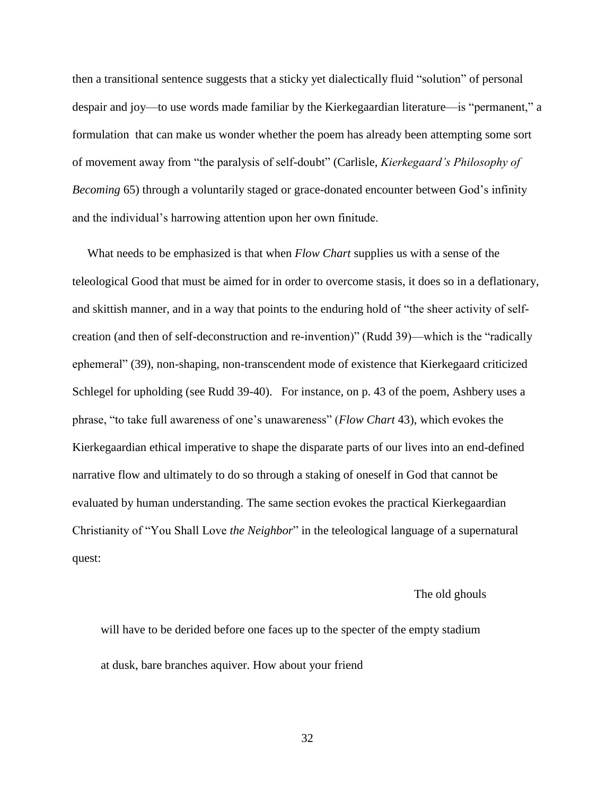then a transitional sentence suggests that a sticky yet dialectically fluid "solution" of personal despair and joy—to use words made familiar by the Kierkegaardian literature—is "permanent," a formulation that can make us wonder whether the poem has already been attempting some sort of movement away from "the paralysis of self-doubt" (Carlisle, *Kierkegaard's Philosophy of Becoming* 65) through a voluntarily staged or grace-donated encounter between God's infinity and the individual's harrowing attention upon her own finitude.

 What needs to be emphasized is that when *Flow Chart* supplies us with a sense of the teleological Good that must be aimed for in order to overcome stasis, it does so in a deflationary, and skittish manner, and in a way that points to the enduring hold of "the sheer activity of selfcreation (and then of self-deconstruction and re-invention)" (Rudd 39)—which is the "radically ephemeral" (39), non-shaping, non-transcendent mode of existence that Kierkegaard criticized Schlegel for upholding (see Rudd 39-40). For instance, on p. 43 of the poem, Ashbery uses a phrase, "to take full awareness of one's unawareness" (*Flow Chart* 43), which evokes the Kierkegaardian ethical imperative to shape the disparate parts of our lives into an end-defined narrative flow and ultimately to do so through a staking of oneself in God that cannot be evaluated by human understanding. The same section evokes the practical Kierkegaardian Christianity of "You Shall Love *the Neighbor*" in the teleological language of a supernatural quest:

#### The old ghouls

will have to be derided before one faces up to the specter of the empty stadium at dusk, bare branches aquiver. How about your friend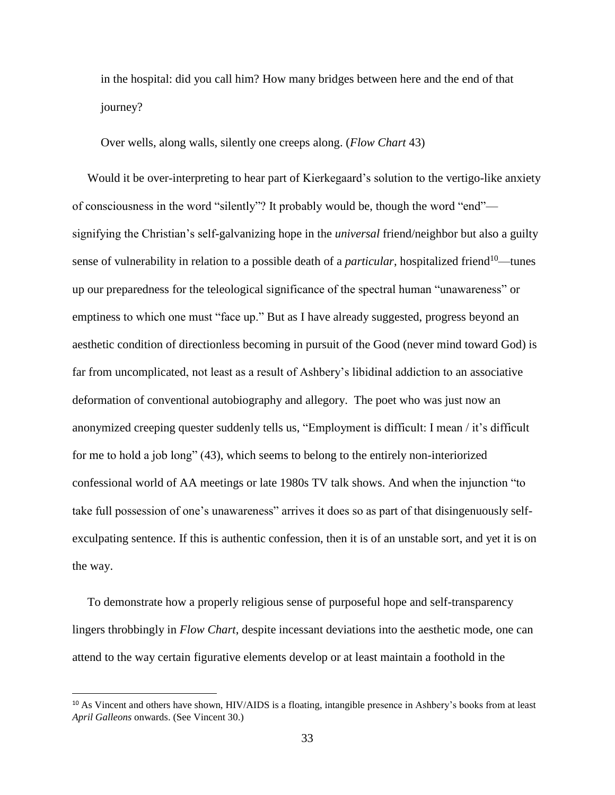in the hospital: did you call him? How many bridges between here and the end of that journey?

Over wells, along walls, silently one creeps along. (*Flow Chart* 43)

 Would it be over-interpreting to hear part of Kierkegaard's solution to the vertigo-like anxiety of consciousness in the word "silently"? It probably would be, though the word "end" signifying the Christian's self-galvanizing hope in the *universal* friend/neighbor but also a guilty sense of vulnerability in relation to a possible death of a *particular*, hospitalized friend<sup>10</sup>—tunes up our preparedness for the teleological significance of the spectral human "unawareness" or emptiness to which one must "face up." But as I have already suggested, progress beyond an aesthetic condition of directionless becoming in pursuit of the Good (never mind toward God) is far from uncomplicated, not least as a result of Ashbery's libidinal addiction to an associative deformation of conventional autobiography and allegory. The poet who was just now an anonymized creeping quester suddenly tells us, "Employment is difficult: I mean / it's difficult for me to hold a job long" (43), which seems to belong to the entirely non-interiorized confessional world of AA meetings or late 1980s TV talk shows. And when the injunction "to take full possession of one's unawareness" arrives it does so as part of that disingenuously selfexculpating sentence. If this is authentic confession, then it is of an unstable sort, and yet it is on the way.

 To demonstrate how a properly religious sense of purposeful hope and self-transparency lingers throbbingly in *Flow Chart*, despite incessant deviations into the aesthetic mode, one can attend to the way certain figurative elements develop or at least maintain a foothold in the

l

<sup>&</sup>lt;sup>10</sup> As Vincent and others have shown, HIV/AIDS is a floating, intangible presence in Ashbery's books from at least *April Galleons* onwards. (See Vincent 30.)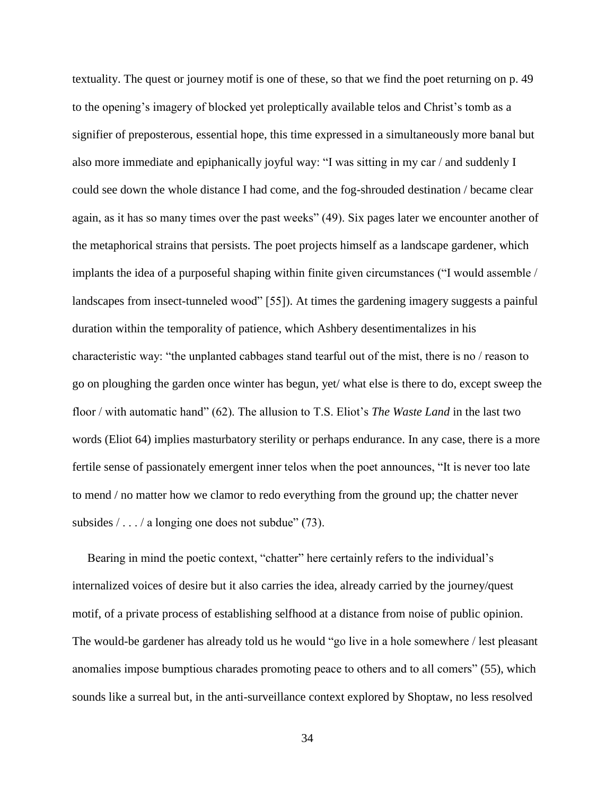textuality. The quest or journey motif is one of these, so that we find the poet returning on p. 49 to the opening's imagery of blocked yet proleptically available telos and Christ's tomb as a signifier of preposterous, essential hope, this time expressed in a simultaneously more banal but also more immediate and epiphanically joyful way: "I was sitting in my car / and suddenly I could see down the whole distance I had come, and the fog-shrouded destination / became clear again, as it has so many times over the past weeks" (49). Six pages later we encounter another of the metaphorical strains that persists. The poet projects himself as a landscape gardener, which implants the idea of a purposeful shaping within finite given circumstances ("I would assemble / landscapes from insect-tunneled wood" [55]). At times the gardening imagery suggests a painful duration within the temporality of patience, which Ashbery desentimentalizes in his characteristic way: "the unplanted cabbages stand tearful out of the mist, there is no / reason to go on ploughing the garden once winter has begun, yet/ what else is there to do, except sweep the floor / with automatic hand" (62). The allusion to T.S. Eliot's *The Waste Land* in the last two words (Eliot 64) implies masturbatory sterility or perhaps endurance. In any case, there is a more fertile sense of passionately emergent inner telos when the poet announces, "It is never too late to mend / no matter how we clamor to redo everything from the ground up; the chatter never subsides  $/ \ldots / a$  longing one does not subdue" (73).

 Bearing in mind the poetic context, "chatter" here certainly refers to the individual's internalized voices of desire but it also carries the idea, already carried by the journey/quest motif, of a private process of establishing selfhood at a distance from noise of public opinion. The would-be gardener has already told us he would "go live in a hole somewhere / lest pleasant anomalies impose bumptious charades promoting peace to others and to all comers" (55), which sounds like a surreal but, in the anti-surveillance context explored by Shoptaw, no less resolved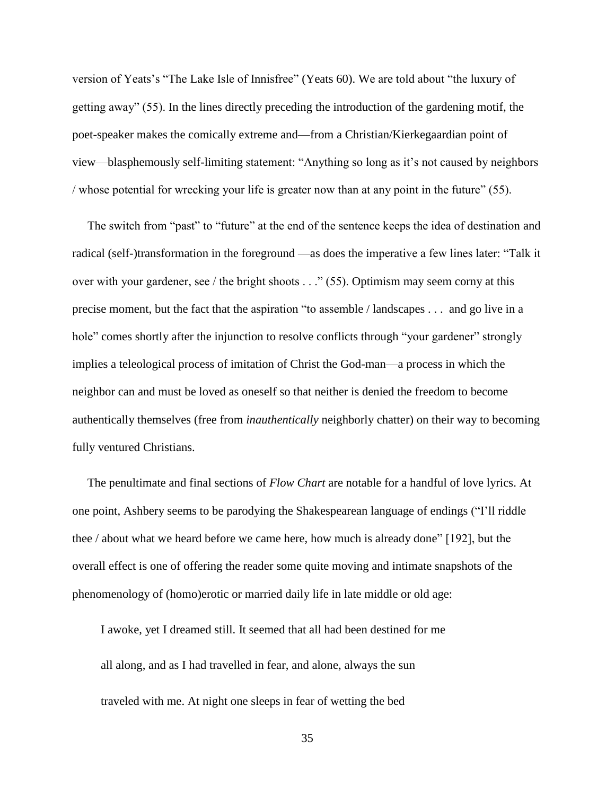version of Yeats's "The Lake Isle of Innisfree" (Yeats 60). We are told about "the luxury of getting away" (55). In the lines directly preceding the introduction of the gardening motif, the poet-speaker makes the comically extreme and—from a Christian/Kierkegaardian point of view—blasphemously self-limiting statement: "Anything so long as it's not caused by neighbors / whose potential for wrecking your life is greater now than at any point in the future" (55).

The switch from "past" to "future" at the end of the sentence keeps the idea of destination and radical (self-)transformation in the foreground —as does the imperative a few lines later: "Talk it over with your gardener, see / the bright shoots . . ." (55). Optimism may seem corny at this precise moment, but the fact that the aspiration "to assemble / landscapes . . . and go live in a hole" comes shortly after the injunction to resolve conflicts through "your gardener" strongly implies a teleological process of imitation of Christ the God-man—a process in which the neighbor can and must be loved as oneself so that neither is denied the freedom to become authentically themselves (free from *inauthentically* neighborly chatter) on their way to becoming fully ventured Christians.

 The penultimate and final sections of *Flow Chart* are notable for a handful of love lyrics. At one point, Ashbery seems to be parodying the Shakespearean language of endings ("I'll riddle thee / about what we heard before we came here, how much is already done" [192], but the overall effect is one of offering the reader some quite moving and intimate snapshots of the phenomenology of (homo)erotic or married daily life in late middle or old age:

I awoke, yet I dreamed still. It seemed that all had been destined for me all along, and as I had travelled in fear, and alone, always the sun traveled with me. At night one sleeps in fear of wetting the bed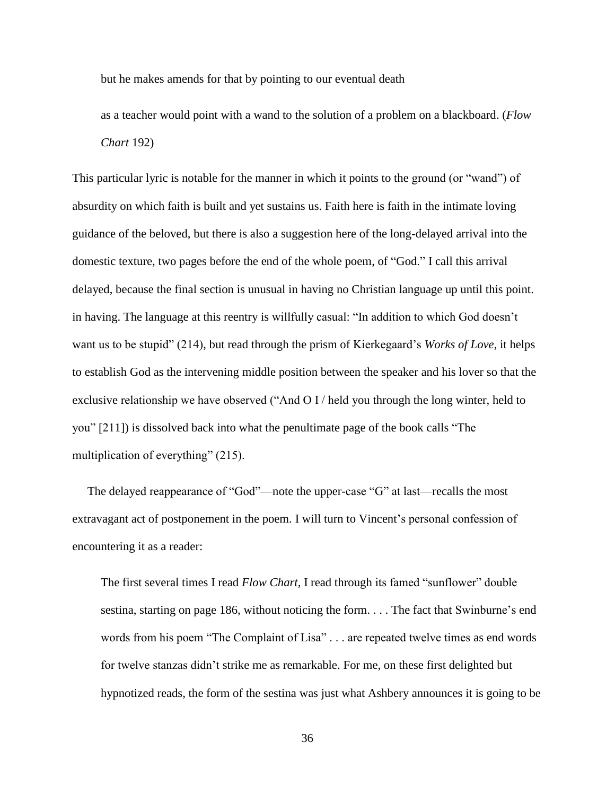but he makes amends for that by pointing to our eventual death

as a teacher would point with a wand to the solution of a problem on a blackboard. (*Flow Chart* 192)

This particular lyric is notable for the manner in which it points to the ground (or "wand") of absurdity on which faith is built and yet sustains us. Faith here is faith in the intimate loving guidance of the beloved, but there is also a suggestion here of the long-delayed arrival into the domestic texture, two pages before the end of the whole poem, of "God." I call this arrival delayed, because the final section is unusual in having no Christian language up until this point. in having. The language at this reentry is willfully casual: "In addition to which God doesn't want us to be stupid" (214), but read through the prism of Kierkegaard's *Works of Love*, it helps to establish God as the intervening middle position between the speaker and his lover so that the exclusive relationship we have observed ("And O I / held you through the long winter, held to you" [211]) is dissolved back into what the penultimate page of the book calls "The multiplication of everything" (215).

 The delayed reappearance of "God"—note the upper-case "G" at last—recalls the most extravagant act of postponement in the poem. I will turn to Vincent's personal confession of encountering it as a reader:

The first several times I read *Flow Chart*, I read through its famed "sunflower" double sestina, starting on page 186, without noticing the form. . . . The fact that Swinburne's end words from his poem "The Complaint of Lisa" . . . are repeated twelve times as end words for twelve stanzas didn't strike me as remarkable. For me, on these first delighted but hypnotized reads, the form of the sestina was just what Ashbery announces it is going to be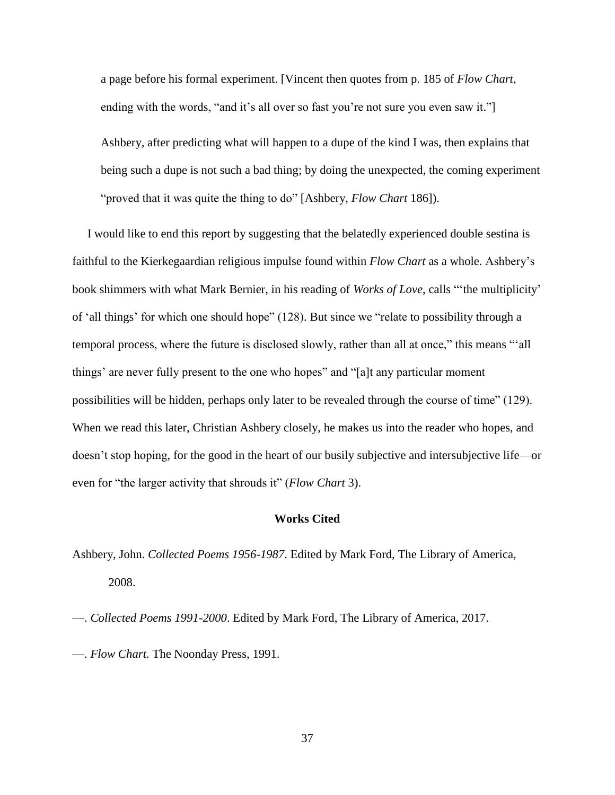a page before his formal experiment. [Vincent then quotes from p. 185 of *Flow Chart*, ending with the words, "and it's all over so fast you're not sure you even saw it."

Ashbery, after predicting what will happen to a dupe of the kind I was, then explains that being such a dupe is not such a bad thing; by doing the unexpected, the coming experiment "proved that it was quite the thing to do" [Ashbery, *Flow Chart* 186]).

 I would like to end this report by suggesting that the belatedly experienced double sestina is faithful to the Kierkegaardian religious impulse found within *Flow Chart* as a whole. Ashbery's book shimmers with what Mark Bernier, in his reading of *Works of Love*, calls "'the multiplicity' of 'all things' for which one should hope" (128). But since we "relate to possibility through a temporal process, where the future is disclosed slowly, rather than all at once," this means "'all things' are never fully present to the one who hopes" and "[a]t any particular moment possibilities will be hidden, perhaps only later to be revealed through the course of time" (129). When we read this later, Christian Ashbery closely, he makes us into the reader who hopes, and doesn't stop hoping, for the good in the heart of our busily subjective and intersubjective life—or even for "the larger activity that shrouds it" (*Flow Chart* 3).

### **Works Cited**

Ashbery, John. *Collected Poems 1956-1987*. Edited by Mark Ford, The Library of America, 2008.

—. *Collected Poems 1991-2000*. Edited by Mark Ford, The Library of America, 2017.

—. *Flow Chart*. The Noonday Press, 1991.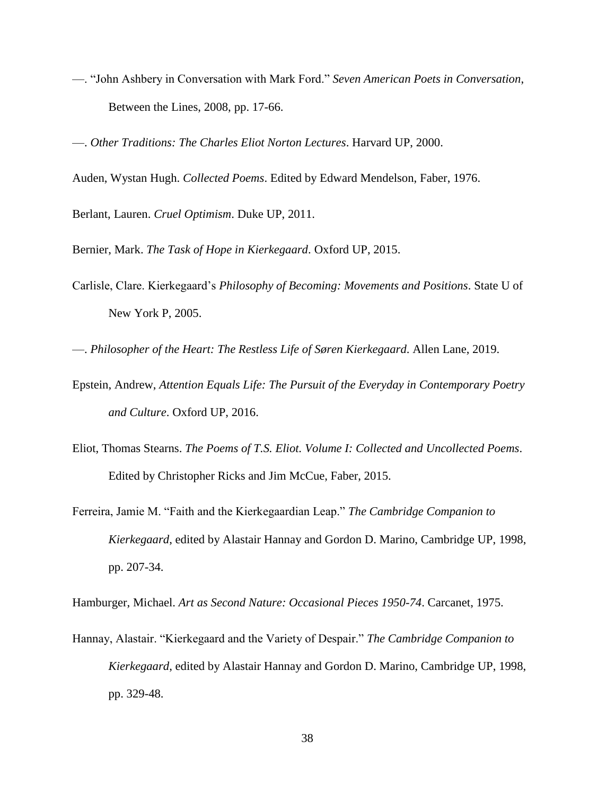—. "John Ashbery in Conversation with Mark Ford." *Seven American Poets in Conversation*, Between the Lines, 2008, pp. 17-66.

—. *Other Traditions: The Charles Eliot Norton Lectures*. Harvard UP, 2000.

Auden, Wystan Hugh. *Collected Poems*. Edited by Edward Mendelson, Faber, 1976.

Berlant, Lauren. *Cruel Optimism*. Duke UP, 2011.

Bernier, Mark. *The Task of Hope in Kierkegaard*. Oxford UP, 2015.

Carlisle, Clare. Kierkegaard's *Philosophy of Becoming: Movements and Positions*. State U of New York P, 2005.

—. *Philosopher of the Heart: The Restless Life of Søren Kierkegaard*. Allen Lane, 2019.

- Epstein, Andrew, *Attention Equals Life: The Pursuit of the Everyday in Contemporary Poetry and Culture*. Oxford UP, 2016.
- Eliot, Thomas Stearns. *The Poems of T.S. Eliot. Volume I: Collected and Uncollected Poems*. Edited by Christopher Ricks and Jim McCue, Faber, 2015.
- Ferreira, Jamie M. "Faith and the Kierkegaardian Leap." *The Cambridge Companion to Kierkegaard*, edited by Alastair Hannay and Gordon D. Marino, Cambridge UP, 1998, pp. 207-34.

Hamburger, Michael. *Art as Second Nature: Occasional Pieces 1950-74*. Carcanet, 1975.

Hannay, Alastair. "Kierkegaard and the Variety of Despair." *The Cambridge Companion to Kierkegaard*, edited by Alastair Hannay and Gordon D. Marino, Cambridge UP, 1998, pp. 329-48.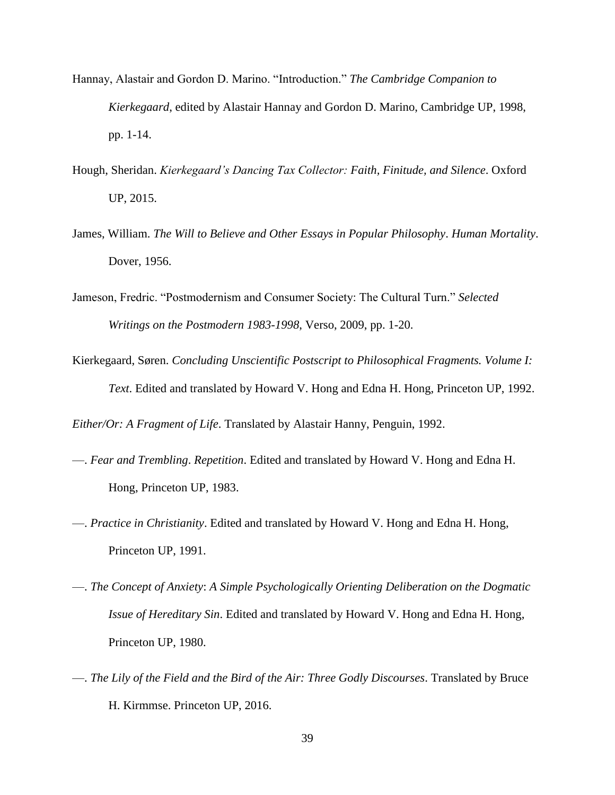- Hannay, Alastair and Gordon D. Marino. "Introduction." *The Cambridge Companion to Kierkegaard*, edited by Alastair Hannay and Gordon D. Marino, Cambridge UP, 1998, pp. 1-14.
- Hough, Sheridan. *Kierkegaard's Dancing Tax Collector: Faith, Finitude, and Silence*. Oxford UP, 2015.
- James, William. *The Will to Believe and Other Essays in Popular Philosophy*. *Human Mortality*. Dover, 1956.
- Jameson, Fredric. "Postmodernism and Consumer Society: The Cultural Turn." *Selected Writings on the Postmodern 1983-1998*, Verso, 2009, pp. 1-20.
- Kierkegaard, Søren. *Concluding Unscientific Postscript to Philosophical Fragments. Volume I: Text*. Edited and translated by Howard V. Hong and Edna H. Hong, Princeton UP, 1992.

*Either/Or: A Fragment of Life*. Translated by Alastair Hanny, Penguin, 1992.

- —. *Fear and Trembling*. *Repetition*. Edited and translated by Howard V. Hong and Edna H. Hong, Princeton UP, 1983.
- —. *Practice in Christianity*. Edited and translated by Howard V. Hong and Edna H. Hong, Princeton UP, 1991.
- —. *The Concept of Anxiety*: *A Simple Psychologically Orienting Deliberation on the Dogmatic Issue of Hereditary Sin*. Edited and translated by Howard V. Hong and Edna H. Hong, Princeton UP, 1980.
- —. *The Lily of the Field and the Bird of the Air: Three Godly Discourses*. Translated by Bruce H. Kirmmse. Princeton UP, 2016.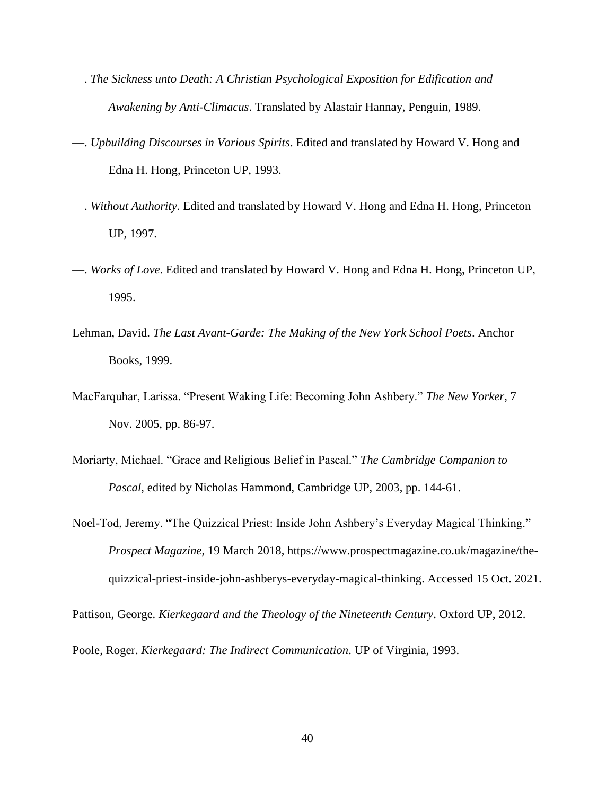- —. *The Sickness unto Death: A Christian Psychological Exposition for Edification and Awakening by Anti-Climacus*. Translated by Alastair Hannay, Penguin, 1989.
- —. *Upbuilding Discourses in Various Spirits*. Edited and translated by Howard V. Hong and Edna H. Hong, Princeton UP, 1993.
- —. *Without Authority*. Edited and translated by Howard V. Hong and Edna H. Hong, Princeton UP, 1997.
- —. *Works of Love*. Edited and translated by Howard V. Hong and Edna H. Hong, Princeton UP, 1995.
- Lehman, David. *The Last Avant-Garde: The Making of the New York School Poets*. Anchor Books, 1999.
- MacFarquhar, Larissa. "Present Waking Life: Becoming John Ashbery." *The New Yorker*, 7 Nov. 2005, pp. 86-97.
- Moriarty, Michael. "Grace and Religious Belief in Pascal." *The Cambridge Companion to Pascal*, edited by Nicholas Hammond, Cambridge UP, 2003, pp. 144-61.
- Noel-Tod, Jeremy. "The Quizzical Priest: Inside John Ashbery's Everyday Magical Thinking." *Prospect Magazine*, 19 March 2018, https://www.prospectmagazine.co.uk/magazine/thequizzical-priest-inside-john-ashberys-everyday-magical-thinking. Accessed 15 Oct. 2021.

Pattison, George. *Kierkegaard and the Theology of the Nineteenth Century*. Oxford UP, 2012.

Poole, Roger. *Kierkegaard: The Indirect Communication*. UP of Virginia, 1993.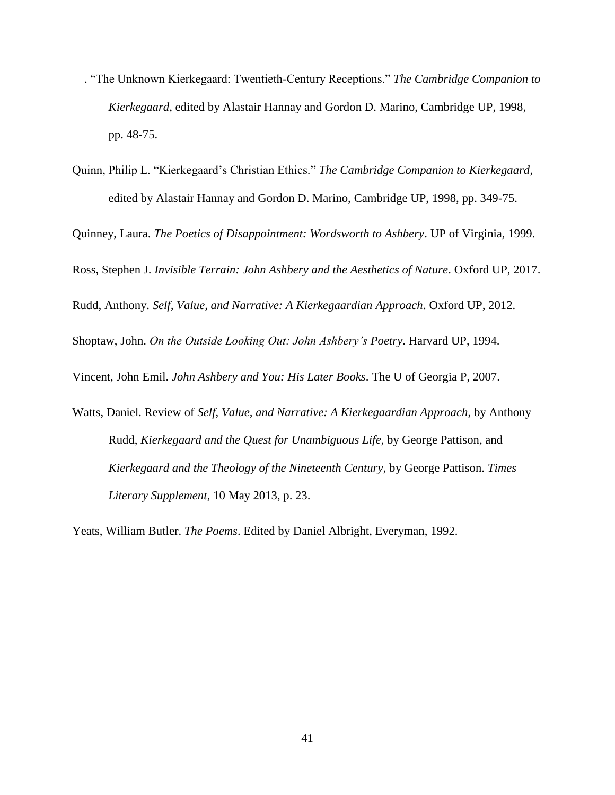- —. "The Unknown Kierkegaard: Twentieth-Century Receptions." *The Cambridge Companion to Kierkegaard*, edited by Alastair Hannay and Gordon D. Marino, Cambridge UP, 1998, pp. 48-75.
- Quinn, Philip L. "Kierkegaard's Christian Ethics." *The Cambridge Companion to Kierkegaard*, edited by Alastair Hannay and Gordon D. Marino, Cambridge UP, 1998, pp. 349-75.

Quinney, Laura. *The Poetics of Disappointment: Wordsworth to Ashbery*. UP of Virginia, 1999.

Ross, Stephen J. *Invisible Terrain: John Ashbery and the Aesthetics of Nature*. Oxford UP, 2017.

Rudd, Anthony. *Self, Value, and Narrative: A Kierkegaardian Approach*. Oxford UP, 2012.

Shoptaw, John. *On the Outside Looking Out: John Ashbery's Poetry*. Harvard UP, 1994.

Vincent, John Emil. *John Ashbery and You: His Later Books*. The U of Georgia P, 2007.

Watts, Daniel. Review of *Self, Value, and Narrative: A Kierkegaardian Approach*, by Anthony Rudd, *Kierkegaard and the Quest for Unambiguous Life*, by George Pattison, and *Kierkegaard and the Theology of the Nineteenth Century*, by George Pattison. *Times Literary Supplement*, 10 May 2013, p. 23.

Yeats, William Butler. *The Poems*. Edited by Daniel Albright, Everyman, 1992.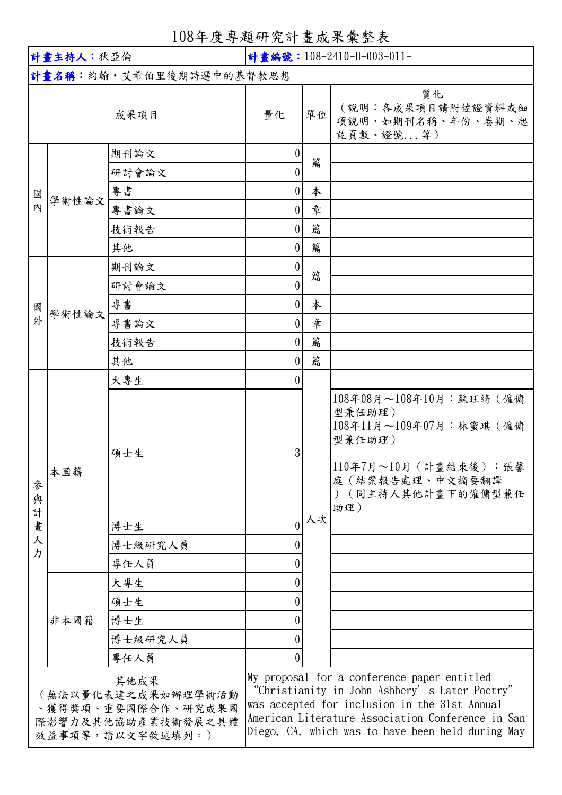| 108年度專題研究計畫成果彙整表 |  |
|------------------|--|
|                  |  |

| 計畫主持人:狄亞倫                                                                                  |       |                                                                                                                                                                                                                                                         | 計畫編號: 108-2410-H-003-011- |                                                           |                                                                                                                                               |  |  |
|--------------------------------------------------------------------------------------------|-------|---------------------------------------------------------------------------------------------------------------------------------------------------------------------------------------------------------------------------------------------------------|---------------------------|-----------------------------------------------------------|-----------------------------------------------------------------------------------------------------------------------------------------------|--|--|
| 計畫名稱:約翰·艾希伯里後期詩選中的基督教思想                                                                    |       |                                                                                                                                                                                                                                                         |                           |                                                           |                                                                                                                                               |  |  |
| 成果項目                                                                                       |       | 量化                                                                                                                                                                                                                                                      | 單位                        | 質化<br>(說明:各成果項目請附佐證資料或細<br>項說明,如期刊名稱、年份、卷期、起<br>訖頁數、證號 等) |                                                                                                                                               |  |  |
| 國<br>內                                                                                     | 學術性論文 | 期刊論文                                                                                                                                                                                                                                                    | $\theta$                  |                                                           |                                                                                                                                               |  |  |
|                                                                                            |       | 研討會論文                                                                                                                                                                                                                                                   | 0                         | 篇                                                         |                                                                                                                                               |  |  |
|                                                                                            |       | 專書                                                                                                                                                                                                                                                      | $\overline{0}$            | 本                                                         |                                                                                                                                               |  |  |
|                                                                                            |       | 專書論文                                                                                                                                                                                                                                                    | $\Omega$                  | 章                                                         |                                                                                                                                               |  |  |
|                                                                                            |       | 技術報告                                                                                                                                                                                                                                                    | $\theta$                  | 篇                                                         |                                                                                                                                               |  |  |
|                                                                                            |       | 其他                                                                                                                                                                                                                                                      | $\overline{0}$            | 篇                                                         |                                                                                                                                               |  |  |
| 國<br>外                                                                                     |       | 期刊論文                                                                                                                                                                                                                                                    | 0                         |                                                           |                                                                                                                                               |  |  |
|                                                                                            | 學術性論文 | 研討會論文                                                                                                                                                                                                                                                   | 0                         | 篇                                                         |                                                                                                                                               |  |  |
|                                                                                            |       | 專書                                                                                                                                                                                                                                                      | $\overline{0}$            | 本                                                         |                                                                                                                                               |  |  |
|                                                                                            |       | 專書論文                                                                                                                                                                                                                                                    | $\overline{0}$            | 章                                                         |                                                                                                                                               |  |  |
|                                                                                            |       | 技術報告                                                                                                                                                                                                                                                    | $\theta$                  | 篇                                                         |                                                                                                                                               |  |  |
|                                                                                            |       | 其他                                                                                                                                                                                                                                                      | $\overline{0}$            | 篇                                                         |                                                                                                                                               |  |  |
|                                                                                            | 本國籍   | 大專生                                                                                                                                                                                                                                                     |                           |                                                           |                                                                                                                                               |  |  |
| 參<br>與<br>計                                                                                |       | 碩士生                                                                                                                                                                                                                                                     | 3                         | 人次                                                        | 108年08月~108年10月:蘇珏綺 (僱傭<br>型兼任助理)<br>108年11月~109年07月:林蜜琪 (僱傭<br>型兼任助理)<br>110年7月~10月 (計畫結束後):張馨<br>庭(結案報告處理、中文摘要翻譯<br>(同主持人其他計畫下的僱傭型兼任<br>助理) |  |  |
| 畫                                                                                          |       | 博士生                                                                                                                                                                                                                                                     | $\theta$                  |                                                           |                                                                                                                                               |  |  |
| 人                                                                                          |       | 博士級研究人員                                                                                                                                                                                                                                                 |                           |                                                           |                                                                                                                                               |  |  |
| 力                                                                                          |       | 專任人員                                                                                                                                                                                                                                                    |                           |                                                           |                                                                                                                                               |  |  |
|                                                                                            | 非本國籍  | 大專生                                                                                                                                                                                                                                                     |                           |                                                           |                                                                                                                                               |  |  |
|                                                                                            |       | 碩士生                                                                                                                                                                                                                                                     |                           |                                                           |                                                                                                                                               |  |  |
|                                                                                            |       | 博士生                                                                                                                                                                                                                                                     |                           |                                                           |                                                                                                                                               |  |  |
|                                                                                            |       | 博士級研究人員                                                                                                                                                                                                                                                 |                           |                                                           |                                                                                                                                               |  |  |
|                                                                                            |       | 專任人員                                                                                                                                                                                                                                                    |                           |                                                           |                                                                                                                                               |  |  |
| 其他成果<br>(無法以量化表達之成果如辦理學術活動<br>、獲得獎項、重要國際合作、研究成果國<br>際影響力及其他協助產業技術發展之具體<br>效益事項等,請以文字敘述填列。) |       | My proposal for a conference paper entitled<br>"Christianity in John Ashbery's Later Poetry"<br>was accepted for inclusion in the 31st Annual<br>American Literature Association Conference in San<br>Diego, CA, which was to have been held during May |                           |                                                           |                                                                                                                                               |  |  |